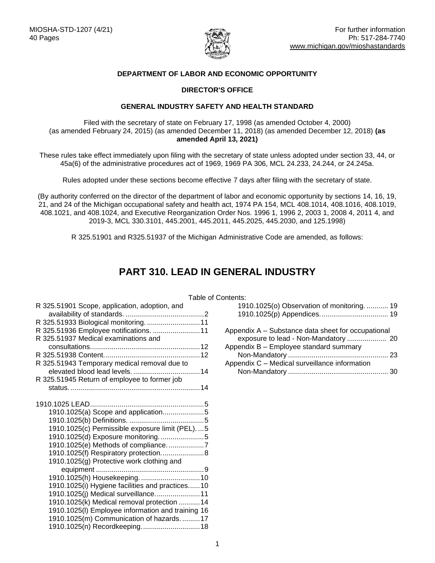

# **DEPARTMENT OF LABOR AND ECONOMIC OPPORTUNITY**

# **DIRECTOR'S OFFICE**

# **GENERAL INDUSTRY SAFETY AND HEALTH STANDARD**

Filed with the secretary of state on February 17, 1998 (as amended October 4, 2000) (as amended February 24, 2015) (as amended December 11, 2018) (as amended December 12, 2018) **(as amended April 13, 2021)**

These rules take effect immediately upon filing with the secretary of state unless adopted under section 33, 44, or 45a(6) of the administrative procedures act of 1969, 1969 PA 306, MCL 24.233, 24.244, or 24.245a.

Rules adopted under these sections become effective 7 days after filing with the secretary of state.

(By authority conferred on the director of the department of labor and economic opportunity by sections 14, 16, 19, 21, and 24 of the Michigan occupational safety and health act, 1974 PA 154, MCL 408.1014, 408.1016, 408.1019, 408.1021, and 408.1024, and Executive Reorganization Order Nos. 1996 1, 1996 2, 2003 1, 2008 4, 2011 4, and 2019-3, MCL 330.3101, 445.2001, 445.2011, 445.2025, 445.2030, and 125.1998)

R 325.51901 and R325.51937 of the Michigan Administrative Code are amended, as follows:

# **PART 310. LEAD IN GENERAL INDUSTRY**

|                                                   | i avic t |
|---------------------------------------------------|----------|
| R 325.51901 Scope, application, adoption, and     |          |
|                                                   |          |
| R 325.51933 Biological monitoring.  11            |          |
| R 325.51936 Employee notifications.  11           |          |
| R 325.51937 Medical examinations and              |          |
|                                                   |          |
|                                                   |          |
| R 325.51943 Temporary medical removal due to      |          |
|                                                   |          |
| R 325.51945 Return of employee to former job      |          |
|                                                   |          |
|                                                   |          |
|                                                   |          |
| 1910.1025(a) Scope and application5               |          |
|                                                   |          |
| 1910.1025(c) Permissible exposure limit (PEL)5    |          |
| 1910.1025(d) Exposure monitoring5                 |          |
| 1910.1025(e) Methods of compliance7               |          |
| 1910.1025(f) Respiratory protection 8             |          |
| 1910.1025(g) Protective work clothing and         |          |
|                                                   |          |
| 1910.1025(h) Housekeeping.  10                    |          |
| 1910.1025(i) Hygiene facilities and practices10   |          |
| 1910.1025(j) Medical surveillance11               |          |
| 1910.1025(k) Medical removal protection  14       |          |
| 1910.1025(I) Employee information and training 16 |          |
| 1910.1025(m) Communication of hazards17           |          |
| 1910.1025(n) Recordkeeping 18                     |          |

Table of Contents:

| 1910.1025(o) Observation of monitoring.  19        |
|----------------------------------------------------|
|                                                    |
| Appendix A - Substance data sheet for occupational |
|                                                    |
| Appendix B - Employee standard summary             |
|                                                    |
| Appendix C - Medical surveillance information      |
|                                                    |
|                                                    |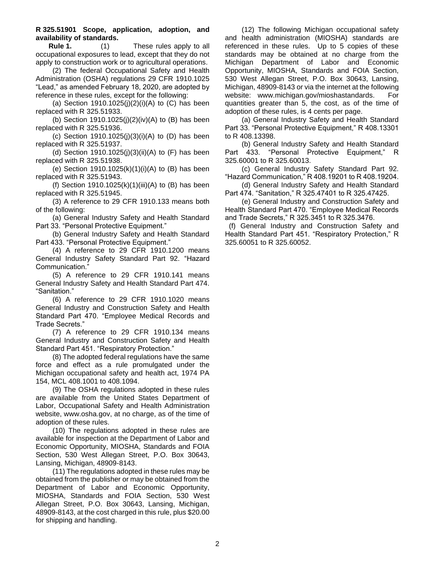<span id="page-1-0"></span>**R 325.51901 Scope, application, adoption, and availability of standards.**

**Rule 1.** (1) These rules apply to all occupational exposures to lead, except that they do not apply to construction work or to agricultural operations.

 (2) The federal Occupational Safety and Health Administration (OSHA) regulations 29 CFR 1910.1025 "Lead," as amended February 18, 2020, are adopted by reference in these rules, except for the following:

(a) Section  $1910.1025(j)(2)(i)(A)$  to  $(C)$  has been replaced with R 325.51933.

 (b) Section 1910.1025(j)(2)(iv)(A) to (B) has been replaced with R 325.51936.

 (c) Section 1910.1025(j)(3)(i)(A) to (D) has been replaced with R 325.51937.

 (d) Section 1910.1025(j)(3)(ii)(A) to (F) has been replaced with R 325.51938.

(e) Section  $1910.1025(k)(1)(i)(A)$  to (B) has been replaced with R 325.51943.

(f) Section  $1910.1025(k)(1)(iii)(A)$  to (B) has been replaced with R 325.51945.

 (3) A reference to 29 CFR 1910.133 means both of the following:

 (a) General Industry Safety and Health Standard Part 33. "Personal Protective Equipment."

 (b) General Industry Safety and Health Standard Part 433. "Personal Protective Equipment."

 (4) A reference to 29 CFR 1910.1200 means General Industry Safety Standard Part 92. "Hazard Communication."

 (5) A reference to 29 CFR 1910.141 means General Industry Safety and Health Standard Part 474. "Sanitation."

 (6) A reference to 29 CFR 1910.1020 means General Industry and Construction Safety and Health Standard Part 470. "Employee Medical Records and Trade Secrets."

 (7) A reference to 29 CFR 1910.134 means General Industry and Construction Safety and Health Standard Part 451. "Respiratory Protection."

 (8) The adopted federal regulations have the same force and effect as a rule promulgated under the Michigan occupational safety and health act, 1974 PA 154, MCL 408.1001 to 408.1094.

 (9) The OSHA regulations adopted in these rules are available from the United States Department of Labor, Occupational Safety and Health Administration website, www.osha.gov, at no charge, as of the time of adoption of these rules.

 (10) The regulations adopted in these rules are available for inspection at the Department of Labor and Economic Opportunity, MIOSHA, Standards and FOIA Section, 530 West Allegan Street, P.O. Box 30643, Lansing, Michigan, 48909-8143.

 (11) The regulations adopted in these rules may be obtained from the publisher or may be obtained from the Department of Labor and Economic Opportunity, MIOSHA, Standards and FOIA Section, 530 West Allegan Street, P.O. Box 30643, Lansing, Michigan, 48909-8143, at the cost charged in this rule, plus \$20.00 for shipping and handling.

 (12) The following Michigan occupational safety and health administration (MIOSHA) standards are referenced in these rules. Up to 5 copies of these standards may be obtained at no charge from the Michigan Department of Labor and Economic Opportunity, MIOSHA, Standards and FOIA Section, 530 West Allegan Street, P.O. Box 30643, Lansing, Michigan, 48909-8143 or via the internet at the following website: www.michigan.gov/mioshastandards. For quantities greater than 5, the cost, as of the time of adoption of these rules, is 4 cents per page.

 (a) General Industry Safety and Health Standard Part 33. "Personal Protective Equipment," R 408.13301 to R 408.13398.

 (b) General Industry Safety and Health Standard Part 433. "Personal Protective Equipment," R 325.60001 to R 325.60013.

 (c) General Industry Safety Standard Part 92. "Hazard Communication," R 408.19201 to R 408.19204.

 (d) General Industry Safety and Health Standard Part 474. "Sanitation," R 325.47401 to R 325.47425.

 (e) General Industry and Construction Safety and Health Standard Part 470. "Employee Medical Records and Trade Secrets," R 325.3451 to R 325.3476.

 (f) General Industry and Construction Safety and Health Standard Part 451. "Respiratory Protection," R 325.60051 to R 325.60052.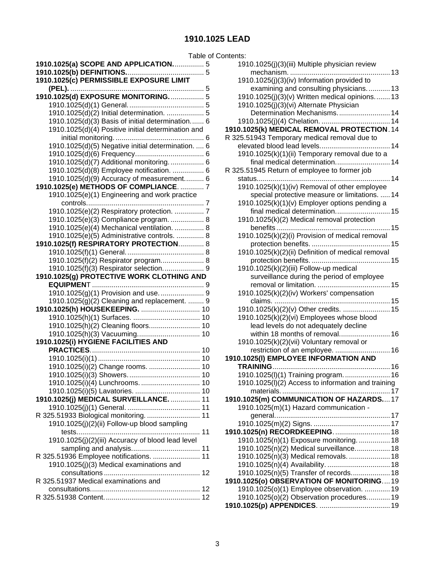# **1910.1025 LEAD**

| 1910.1025                                          |
|----------------------------------------------------|
| Table of Co                                        |
| 1910.1025(a) SCOPE AND APPLICATION 5               |
|                                                    |
| 1910.1025(c) PERMISSIBLE EXPOSURE LIMIT            |
|                                                    |
|                                                    |
| 1910.1025(d)(2) Initial determination.  5          |
| 1910.1025(d)(3) Basis of initial determination 6   |
| 1910.1025(d)(4) Positive initial determination and |
|                                                    |
| 1910.1025(d)(5) Negative initial determination.  6 |
|                                                    |
| 1910.1025(d)(7) Additional monitoring 6            |
| 1910.1025(d)(8) Employee notification.  6          |
| 1910.1025(d)(9) Accuracy of measurement 6          |
| 1910.1025(e) METHODS OF COMPLIANCE.  7             |
| 1910.1025(e)(1) Engineering and work practice      |
| 1910.1025(e)(2) Respiratory protection.  7         |
| 1910.1025(e)(3) Compliance program.  8             |
| 1910.1025(e)(4) Mechanical ventilation.  8         |
| 1910.1025(e)(5) Administrative controls.  8        |
| 1910.1025(f) RESPIRATORY PROTECTION 8              |
|                                                    |
| 1910.1025(f)(2) Respirator program 8               |
| 1910.1025(f)(3) Respirator selection 9             |
| 1910.1025(g) PROTECTIVE WORK CLOTHING AND          |
|                                                    |
| 1910.1025(g)(2) Cleaning and replacement.  9       |
| 1910.1025(h) HOUSEKEEPING.  10                     |
|                                                    |
| 1910.1025(h)(2) Cleaning floors 10                 |
| 1910.1025(h)(3) Vacuuming 10                       |
| 1910.1025(i) HYGIENE FACILITIES AND                |
|                                                    |
|                                                    |
| 1910.1025(i)(2) Change rooms.  10                  |
|                                                    |
| 1910.1025(i)(4) Lunchrooms.  10                    |
| 1910.1025(j) MEDICAL SURVEILLANCE.  11             |
|                                                    |
| R 325.51933 Biological monitoring.  11             |
| 1910.1025(j)(2)(ii) Follow-up blood sampling       |
| …… 11                                              |
| 1910.1025(j)(2)(iii) Accuracy of blood lead level  |
|                                                    |
| R 325.51936 Employee notifications.  11            |
| 1910.1025(j)(3) Medical examinations and           |
| R 325.51937 Medical examinations and               |
|                                                    |
|                                                    |
|                                                    |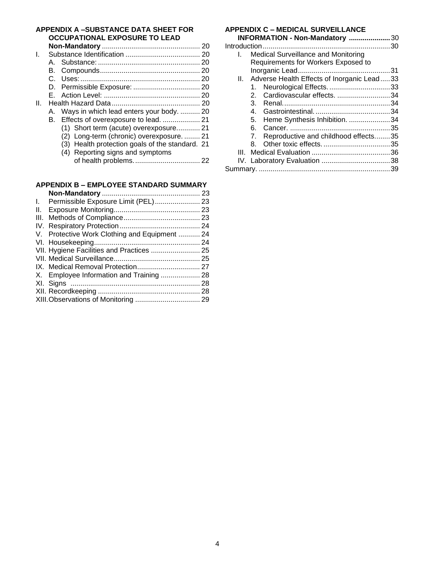# **[APPENDIX A –](#page-19-0)[SUBSTANCE DATA SHEET FOR](#page-19-1)  [OCCUPATIONAL EXPOSURE TO LEAD](#page-19-1)**

| L   |    |                                                 |  |
|-----|----|-------------------------------------------------|--|
|     |    |                                                 |  |
|     | В. |                                                 |  |
|     |    |                                                 |  |
|     |    |                                                 |  |
|     |    |                                                 |  |
| II. |    |                                                 |  |
|     |    | A. Ways in which lead enters your body.  20     |  |
|     | В. |                                                 |  |
|     |    | (1) Short term (acute) overexposure 21          |  |
|     |    | (2) Long-term (chronic) overexposure 21         |  |
|     |    | (3) Health protection goals of the standard. 21 |  |
|     |    | Reporting signs and symptoms<br>(4)             |  |
|     |    |                                                 |  |
|     |    |                                                 |  |

#### **[APPENDIX B –](#page-22-0) [EMPLOYEE STANDARD SUMMARY](#page-22-1) Non-Mandatory** [..................................................](#page-22-1) 23

| V. Protective Work Clothing and Equipment  24 |  |
|-----------------------------------------------|--|
|                                               |  |
|                                               |  |
|                                               |  |
|                                               |  |
| X. Employee Information and Training  28      |  |
|                                               |  |
|                                               |  |
|                                               |  |
|                                               |  |

# **[APPENDIX C –](#page-29-0) [MEDICAL SURVEILLANCE](#page-29-1)**

|      | INFORMATION - Non-Mandatory 30             |  |
|------|--------------------------------------------|--|
|      |                                            |  |
| I.   | Medical Surveillance and Monitoring        |  |
|      | Requirements for Workers Exposed to        |  |
|      |                                            |  |
| II.  | Adverse Health Effects of Inorganic Lead33 |  |
|      | 1.                                         |  |
|      | Cardiovascular effects. 34<br>2.           |  |
|      | 3.                                         |  |
|      | 4                                          |  |
|      | 5.<br>Heme Synthesis Inhibition. 34        |  |
|      | 6.                                         |  |
|      | Reproductive and childhood effects35<br>7. |  |
|      | 8.                                         |  |
| III. |                                            |  |
|      |                                            |  |
|      |                                            |  |
|      |                                            |  |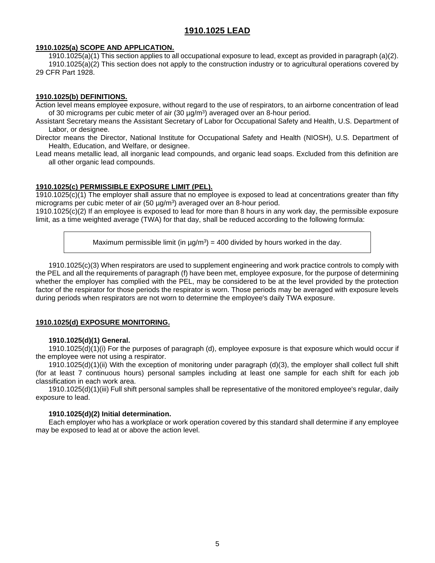# **1910.1025 LEAD**

# <span id="page-4-1"></span><span id="page-4-0"></span>**1910.1025(a) SCOPE AND APPLICATION.**

1910.1025(a)(1) This section applies to all occupational exposure to lead, except as provided in paragraph (a)(2). 1910.1025(a)(2) This section does not apply to the construction industry or to agricultural operations covered by 29 CFR Part 1928.

# <span id="page-4-2"></span>**1910.1025(b) DEFINITIONS.**

Action level means employee exposure, without regard to the use of respirators, to an airborne concentration of lead of 30 micrograms per cubic meter of air (30  $\mu$ g/m<sup>3</sup>) averaged over an 8-hour period.

Assistant Secretary means the Assistant Secretary of Labor for Occupational Safety and Health, U.S. Department of Labor, or designee.

Director means the Director, National Institute for Occupational Safety and Health (NIOSH), U.S. Department of Health, Education, and Welfare, or designee.

Lead means metallic lead, all inorganic lead compounds, and organic lead soaps. Excluded from this definition are all other organic lead compounds.

# <span id="page-4-3"></span>**1910.1025(c) PERMISSIBLE EXPOSURE LIMIT (PEL).**

1910.1025(c)(1) The employer shall assure that no employee is exposed to lead at concentrations greater than fifty micrograms per cubic meter of air  $(50 \mu g/m<sup>3</sup>)$  averaged over an 8-hour period.

1910.1025(c)(2) If an employee is exposed to lead for more than 8 hours in any work day, the permissible exposure limit, as a time weighted average (TWA) for that day, shall be reduced according to the following formula:

Maximum permissible limit (in  $\mu$ g/m<sup>3</sup>) = 400 divided by hours worked in the day.

1910.1025(c)(3) When respirators are used to supplement engineering and work practice controls to comply with the PEL and all the requirements of paragraph (f) have been met, employee exposure, for the purpose of determining whether the employer has complied with the PEL, may be considered to be at the level provided by the protection factor of the respirator for those periods the respirator is worn. Those periods may be averaged with exposure levels during periods when respirators are not worn to determine the employee's daily TWA exposure.

# <span id="page-4-4"></span>**[1910.1025\(d\) E](https://www.osha.gov/laws-regs/interlinking/standards/1910.1025(d))XPOSURE MONITORING.**

# **1910.1025(d)(1) General.**

<span id="page-4-5"></span>1910.1025(d)(1)(i) For the purposes of paragraph (d), employee exposure is that exposure which would occur if the employee were not using a respirator.

1910.1025(d)(1)(ii) With the exception of monitoring under paragraph (d)(3), the employer shall collect full shift (for at least 7 continuous hours) personal samples including at least one sample for each shift for each job classification in each work area.

1910.1025(d)(1)(iii) Full shift personal samples shall be representative of the monitored employee's regular, daily exposure to lead.

# **1910.1025(d)(2) Initial determination.**

<span id="page-4-7"></span><span id="page-4-6"></span>Each employer who has a workplace or work operation covered by this standard shall determine if any employee may be exposed to lead at or above the action level.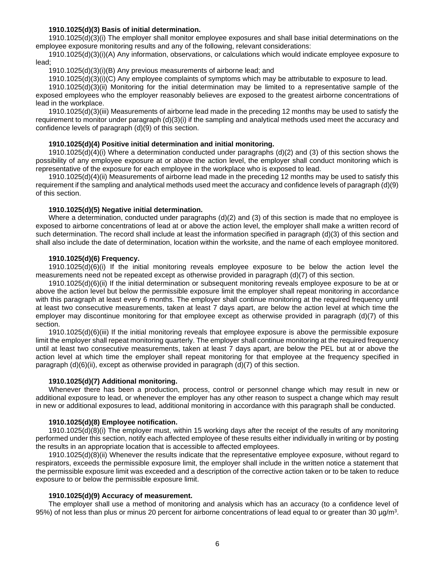### **1910.1025(d)(3) Basis of initial determination.**

1910.1025(d)(3)(i) The employer shall monitor employee exposures and shall base initial determinations on the employee exposure monitoring results and any of the following, relevant considerations:

1910.1025(d)(3)(i)(A) Any information, observations, or calculations which would indicate employee exposure to lead;

1910.1025(d)(3)(i)(B) Any previous measurements of airborne lead; and

1910.1025(d)(3)(i)(C) Any employee complaints of symptoms which may be attributable to exposure to lead.

1910.1025(d)(3)(ii) Monitoring for the initial determination may be limited to a representative sample of the exposed employees who the employer reasonably believes are exposed to the greatest airborne concentrations of lead in the workplace.

1910.1025(d)(3)(iii) Measurements of airborne lead made in the preceding 12 months may be used to satisfy the requirement to monitor under paragraph (d)(3)(i) if the sampling and analytical methods used meet the accuracy and confidence levels of paragraph (d)(9) of this section.

### **1910.1025(d)(4) Positive initial determination and initial monitoring.**

<span id="page-5-0"></span>1910.1025(d)(4)(i) Where a determination conducted under paragraphs (d)(2) and (3) of this section shows the possibility of any employee exposure at or above the action level, the employer shall conduct monitoring which is representative of the exposure for each employee in the workplace who is exposed to lead.

1910.1025(d)(4)(ii) Measurements of airborne lead made in the preceding 12 months may be used to satisfy this requirement if the sampling and analytical methods used meet the accuracy and confidence levels of paragraph (d)(9) of this section.

### <span id="page-5-1"></span>**[1910.1025\(d\)\(5\) N](https://www.osha.gov/laws-regs/interlinking/standards/1910.1025(d)(5))egative initial determination.**

Where a determination, conducted under paragraphs (d)(2) and (3) of this section is made that no employee is exposed to airborne concentrations of lead at or above the action level, the employer shall make a written record of such determination. The record shall include at least the information specified in paragraph (d)(3) of this section and shall also include the date of determination, location within the worksite, and the name of each employee monitored.

### **1910.1025(d)(6) Frequency.**

<span id="page-5-2"></span>1910.1025(d)(6)(i) If the initial monitoring reveals employee exposure to be below the action level the measurements need not be repeated except as otherwise provided in paragraph (d)(7) of this section.

1910.1025(d)(6)(ii) If the initial determination or subsequent monitoring reveals employee exposure to be at or above the action level but below the permissible exposure limit the employer shall repeat monitoring in accordance with this paragraph at least every 6 months. The employer shall continue monitoring at the required frequency until at least two consecutive measurements, taken at least 7 days apart, are below the action level at which time the employer may discontinue monitoring for that employee except as otherwise provided in paragraph (d)(7) of this section.

1910.1025(d)(6)(iii) If the initial monitoring reveals that employee exposure is above the permissible exposure limit the employer shall repeat monitoring quarterly. The employer shall continue monitoring at the required frequency until at least two consecutive measurements, taken at least 7 days apart, are below the PEL but at or above the action level at which time the employer shall repeat monitoring for that employee at the frequency specified in paragraph (d)(6)(ii), except as otherwise provided in paragraph (d)(7) of this section.

### **1910.1025(d)(7) Additional monitoring.**

<span id="page-5-3"></span>Whenever there has been a production, process, control or personnel change which may result in new or additional exposure to lead, or whenever the employer has any other reason to suspect a change which may result in new or additional exposures to lead, additional monitoring in accordance with this paragraph shall be conducted.

### <span id="page-5-4"></span>**[1910.1025\(d\)\(8\) E](https://www.osha.gov/laws-regs/interlinking/standards/1910.1025(d)(8))mployee notification.**

1910.1025(d)(8)(i) The employer must, within 15 working days after the receipt of the results of any monitoring performed under this section, notify each affected employee of these results either individually in writing or by posting the results in an appropriate location that is accessible to affected employees.

1910.1025(d)(8)(ii) Whenever the results indicate that the representative employee exposure, without regard to respirators, exceeds the permissible exposure limit, the employer shall include in the written notice a statement that the permissible exposure limit was exceeded and a description of the corrective action taken or to be taken to reduce exposure to or below the permissible exposure limit.

### **1910.1025(d)(9) Accuracy of measurement.**

<span id="page-5-5"></span>The employer shall use a method of monitoring and analysis which has an accuracy (to a confidence level of 95%) of not less than plus or minus 20 percent for airborne concentrations of lead equal to or greater than 30  $\mu$ g/m<sup>3</sup>.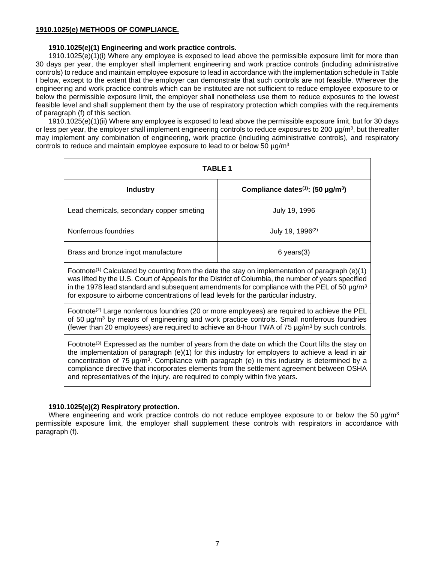# <span id="page-6-1"></span><span id="page-6-0"></span>**[1910.1025\(e\)\(1\) E](https://www.osha.gov/laws-regs/interlinking/standards/1910.1025(e)(1))ngineering and work practice controls.**

1910.1025(e)(1)(i) Where any employee is exposed to lead above the permissible exposure limit for more than 30 days per year, the employer shall implement engineering and work practice controls (including administrative controls) to reduce and maintain employee exposure to lead in accordance with the implementation schedule in Table I below, except to the extent that the employer can demonstrate that such controls are not feasible. Wherever the engineering and work practice controls which can be instituted are not sufficient to reduce employee exposure to or below the permissible exposure limit, the employer shall nonetheless use them to reduce exposures to the lowest feasible level and shall supplement them by the use of respiratory protection which complies with the requirements of paragraph (f) of this section.

1910.1025(e)(1)(ii) Where any employee is exposed to lead above the permissible exposure limit, but for 30 days or less per year, the employer shall implement engineering controls to reduce exposures to 200 µg/m<sup>3</sup>, but thereafter may implement any combination of engineering, work practice (including administrative controls), and respiratory controls to reduce and maintain employee exposure to lead to or below 50  $\mu q/m^3$ 

| <b>TABLE 1</b>                           |                                                  |  |
|------------------------------------------|--------------------------------------------------|--|
| <b>Industry</b>                          | Compliance dates $(1)$ : (50 µg/m <sup>3</sup> ) |  |
| Lead chemicals, secondary copper smeting | July 19, 1996                                    |  |
| Nonferrous foundries                     | July 19, 1996 <sup>(2)</sup>                     |  |
| Brass and bronze ingot manufacture       | $6$ years $(3)$                                  |  |

Footnote<sup>(1)</sup> Calculated by counting from the date the stay on implementation of paragraph (e)(1) was lifted by the U.S. Court of Appeals for the District of Columbia, the number of years specified in the 1978 lead standard and subsequent amendments for compliance with the PEL of 50  $\mu q/m<sup>3</sup>$ for exposure to airborne concentrations of lead levels for the particular industry.

Footnote<sup>(2)</sup> Large nonferrous foundries (20 or more employees) are required to achieve the PEL of 50 µg/m<sup>3</sup> by means of engineering and work practice controls. Small nonferrous foundries (fewer than 20 employees) are required to achieve an 8-hour TWA of 75  $\mu q/m^3$  by such controls.

Footnote<sup>(3)</sup> Expressed as the number of years from the date on which the Court lifts the stay on the implementation of paragraph (e)(1) for this industry for employers to achieve a lead in air concentration of 75  $\mu$ g/m<sup>3</sup>. Compliance with paragraph (e) in this industry is determined by a compliance directive that incorporates elements from the settlement agreement between OSHA and representatives of the injury. are required to comply within five years.

# **1910.1025(e)(2) Respiratory protection.**

<span id="page-6-3"></span><span id="page-6-2"></span>Where engineering and work practice controls do not reduce employee exposure to or below the 50  $\mu q/m<sup>3</sup>$ permissible exposure limit, the employer shall supplement these controls with respirators in accordance with paragraph (f).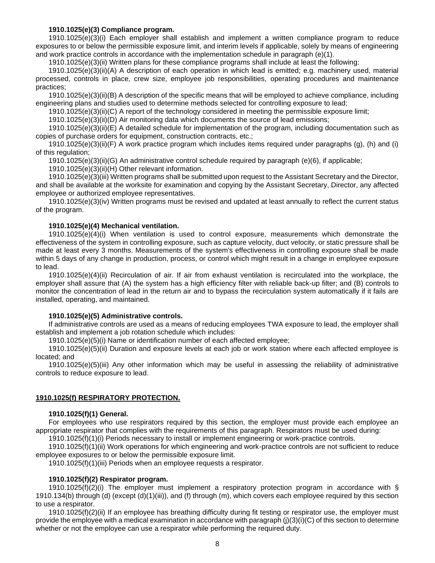### **1910.1025(e)(3) Compliance program.**

1910.1025(e)(3)(i) Each employer shall establish and implement a written compliance program to reduce exposures to or below the permissible exposure limit, and interim levels if applicable, solely by means of engineering and work practice controls in accordance with the implementation schedule in paragraph (e)(1).

1910.1025(e)(3)(ii) Written plans for these compliance programs shall include at least the following:

1910.1025(e)(3)(ii)(A) A description of each operation in which lead is emitted; e.g. machinery used, material processed, controls in place, crew size, employee job responsibilities, operating procedures and maintenance practices;

1910.1025(e)(3)(ii)(B) A description of the specific means that will be employed to achieve compliance, including engineering plans and studies used to determine methods selected for controlling exposure to lead;

1910.1025(e)(3)(ii)(C) A report of the technology considered in meeting the permissible exposure limit;

1910.1025(e)(3)(ii)(D) Air monitoring data which documents the source of lead emissions;

1910.1025(e)(3)(ii)(E) A detailed schedule for implementation of the program, including documentation such as copies of purchase orders for equipment, construction contracts, etc.;

1910.1025(e)(3)(ii)(F) A work practice program which includes items required under paragraphs (g), (h) and (i) of this regulation;

1910.1025(e)(3)(ii)(G) An administrative control schedule required by paragraph (e)(6), if applicable;

1910.1025(e)(3)(ii)(H) Other relevant information.

1910.1025(e)(3)(iii) Written programs shall be submitted upon request to the Assistant Secretary and the Director, and shall be available at the worksite for examination and copying by the Assistant Secretary, Director, any affected employee or authorized employee representatives.

1910.1025(e)(3)(iv) Written programs must be revised and updated at least annually to reflect the current status of the program.

### **1910.1025(e)(4) Mechanical ventilation.**

<span id="page-7-1"></span>1910.1025(e)(4)(i) When ventilation is used to control exposure, measurements which demonstrate the effectiveness of the system in controlling exposure, such as capture velocity, duct velocity, or static pressure shall be made at least every 3 months. Measurements of the system's effectiveness in controlling exposure shall be made within 5 days of any change in production, process, or control which might result in a change in employee exposure to lead.

[1910.1025\(e\)\(4\)\(ii\) R](https://www.osha.gov/laws-regs/interlinking/standards/1910.1025(e)(4)(ii))ecirculation of air. If air from exhaust ventilation is recirculated into the workplace, the employer shall assure that (A) the system has a high efficiency filter with reliable back-up filter; and (B) controls to monitor the concentration of lead in the return air and to bypass the recirculation system automatically if it fails are installed, operating, and maintained.

# **1910.1025(e)(5) Administrative controls.**

<span id="page-7-2"></span>If administrative controls are used as a means of reducing employees TWA exposure to lead, the employer shall establish and implement a job rotation schedule which includes:

1910.1025(e)(5)(i) Name or identification number of each affected employee;

1910.1025(e)(5)(ii) Duration and exposure levels at each job or work station where each affected employee is located; and

1910.1025(e)(5)(iii) Any other information which may be useful in assessing the reliability of administrative controls to reduce exposure to lead.

### <span id="page-7-0"></span>**1910.1025(f) RESPIRATORY PROTECTION.**

### **1910.1025(f)(1) General.**

<span id="page-7-3"></span>For employees who use respirators required by this section, the employer must provide each employee an appropriate respirator that complies with the requirements of this paragraph. Respirators must be used during:

1910.1025(f)(1)(i) Periods necessary to install or implement engineering or work-practice controls.

1910.1025(f)(1)(ii) Work operations for which engineering and work-practice controls are not sufficient to reduce employee exposures to or below the permissible exposure limit.

1910.1025(f)(1)(iii) Periods when an employee requests a respirator.

# <span id="page-7-4"></span>**[1910.1025\(f\)\(2\) R](https://www.osha.gov/laws-regs/interlinking/standards/1910.1025(f)(2))espirator program.**

1910.1025(f)(2)(i) The employer must implement a respiratory protection program in accordance with § 1910.134(b) through (d) (except (d)(1)(iii)), and (f) through (m), which covers each employee required by this section to use a respirator.

[1910.1025\(f\)\(2\)\(ii\) I](https://www.osha.gov/laws-regs/interlinking/standards/1910.1025(f)(2)(ii))f an employee has breathing difficulty during fit testing or respirator use, the employer must provide the employee with a medical examination in accordance with paragraph (j)(3)(i)(C) of this section to determine whether or not the employee can use a respirator while performing the required duty.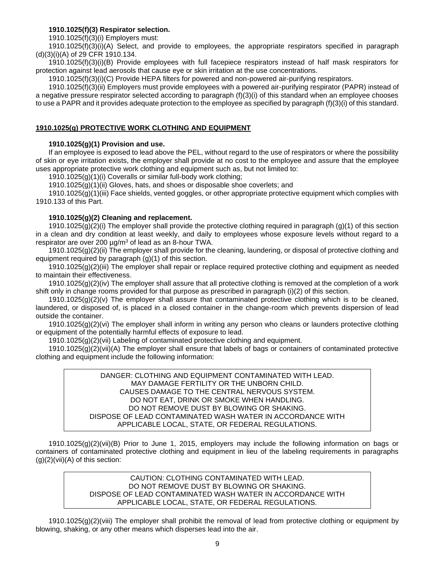# <span id="page-8-1"></span>**1910.1025(f)(3) Respirator selection.**

1910.1025(f)(3)(i) Employers must:

1910.1025(f)(3)(i)(A) Select, and provide to employees, the appropriate respirators specified in paragraph (d)(3)(i)(A) of 29 CFR 1910.134.

1910.1025(f)(3)(i)(B) Provide employees with full facepiece respirators instead of half mask respirators for protection against lead aerosols that cause eye or skin irritation at the use concentrations.

1910.1025(f)(3)(i)(C) Provide HEPA filters for powered and non-powered air-purifying respirators.

1910.1025(f)(3)(ii) Employers must provide employees with a powered air-purifying respirator (PAPR) instead of a negative pressure respirator selected according to paragraph (f)(3)(i) of this standard when an employee chooses to use a PAPR and it provides adequate protection to the employee as specified by paragraph (f)(3)(i) of this standard.

# <span id="page-8-0"></span>**1910.1025(g) PROTECTIVE WORK CLOTHING AND EQUIPMENT**

# **1910.1025(g)(1) Provision and use.**

<span id="page-8-2"></span>If an employee is exposed to lead above the PEL, without regard to the use of respirators or where the possibility of skin or eye irritation exists, the employer shall provide at no cost to the employee and assure that the employee uses appropriate protective work clothing and equipment such as, but not limited to:

1910.1025(g)(1)(i) Coveralls or similar full-body work clothing;

1910.1025(g)(1)(ii) Gloves, hats, and shoes or disposable shoe coverlets; and

1910.1025(g)(1)(iii) Face shields, vented goggles, or other appropriate protective equipment which complies with 1910.133 of this Part.

# **1910.1025(g)(2) Cleaning and replacement.**

<span id="page-8-3"></span>1910.1025(g)(2)(i) The employer shall provide the protective clothing required in paragraph (g)(1) of this section in a clean and dry condition at least weekly, and daily to employees whose exposure levels without regard to a respirator are over 200  $\mu$ g/m<sup>3</sup> of lead as an 8-hour TWA.

1910.1025(g)(2)(ii) The employer shall provide for the cleaning, laundering, or disposal of protective clothing and equipment required by paragraph (g)(1) of this section.

1910.1025(g)(2)(iii) The employer shall repair or replace required protective clothing and equipment as needed to maintain their effectiveness.

1910.1025(g)(2)(iv) The employer shall assure that all protective clothing is removed at the completion of a work shift only in change rooms provided for that purpose as prescribed in paragraph (i)(2) of this section.

1910.1025(g)(2)(v) The employer shall assure that contaminated protective clothing which is to be cleaned, laundered, or disposed of, is placed in a closed container in the change-room which prevents dispersion of lead outside the container.

1910.1025(g)(2)(vi) The employer shall inform in writing any person who cleans or launders protective clothing or equipment of the potentially harmful effects of exposure to lead.

1910.1025(g)(2)(vii) Labeling of contaminated protective clothing and equipment.

1910.1025(g)(2)(vii)(A) The employer shall ensure that labels of bags or containers of contaminated protective clothing and equipment include the following information:

> DANGER: CLOTHING AND EQUIPMENT CONTAMINATED WITH LEAD. MAY DAMAGE FERTILITY OR THE UNBORN CHILD. CAUSES DAMAGE TO THE CENTRAL NERVOUS SYSTEM. DO NOT EAT, DRINK OR SMOKE WHEN HANDLING. DO NOT REMOVE DUST BY BLOWING OR SHAKING. DISPOSE OF LEAD CONTAMINATED WASH WATER IN ACCORDANCE WITH APPLICABLE LOCAL, STATE, OR FEDERAL REGULATIONS.

1910.1025(g)(2)(vii)(B) Prior to June 1, 2015, employers may include the following information on bags or containers of contaminated protective clothing and equipment in lieu of the labeling requirements in paragraphs  $(g)(2)(vii)(A)$  of this section:

> CAUTION: CLOTHING CONTAMINATED WITH LEAD. DO NOT REMOVE DUST BY BLOWING OR SHAKING. DISPOSE OF LEAD CONTAMINATED WASH WATER IN ACCORDANCE WITH APPLICABLE LOCAL, STATE, OR FEDERAL REGULATIONS.

1910.1025(g)(2)(viii) The employer shall prohibit the removal of lead from protective clothing or equipment by blowing, shaking, or any other means which disperses lead into the air.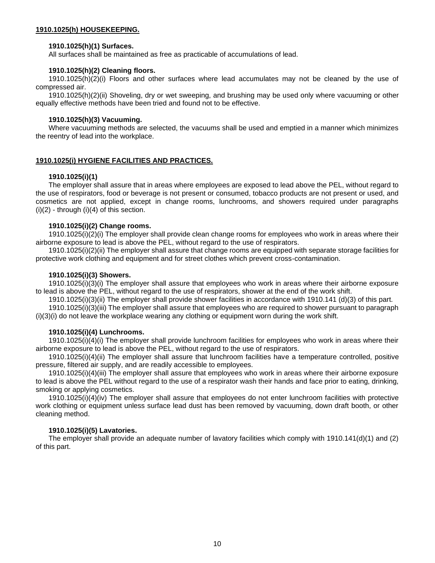# <span id="page-9-0"></span>**[1910.1025\(h\) H](https://www.osha.gov/laws-regs/interlinking/standards/1910.1025(h))OUSEKEEPING.**

# <span id="page-9-2"></span>**1910.1025(h)(1) Surfaces.**

All surfaces shall be maintained as free as practicable of accumulations of lead.

### <span id="page-9-3"></span>**[1910.1025\(h\)\(2\) C](https://www.osha.gov/laws-regs/interlinking/standards/1910.1025(h)(2))leaning floors.**

1910.1025(h)(2)(i) Floors and other surfaces where lead accumulates may not be cleaned by the use of compressed air.

[1910.1025\(h\)\(2\)\(ii\) S](https://www.osha.gov/laws-regs/interlinking/standards/1910.1025(h)(2)(ii))hoveling, dry or wet sweeping, and brushing may be used only where vacuuming or other equally effective methods have been tried and found not to be effective.

### **1910.1025(h)(3) Vacuuming.**

<span id="page-9-4"></span>Where vacuuming methods are selected, the vacuums shall be used and emptied in a manner which minimizes the reentry of lead into the workplace.

# <span id="page-9-1"></span>**1910.1025(i) HYGIENE FACILITIES AND PRACTICES.**

### **1910.1025(i)(1)**

<span id="page-9-5"></span>The employer shall assure that in areas where employees are exposed to lead above the PEL, without regard to the use of respirators, food or beverage is not present or consumed, tobacco products are not present or used, and cosmetics are not applied, except in change rooms, lunchrooms, and showers required under paragraphs  $(i)(2)$  - through  $(i)(4)$  of this section.

# **1910.1025(i)(2) Change rooms.**

<span id="page-9-6"></span>1910.1025(i)(2)(i) The employer shall provide clean change rooms for employees who work in areas where their airborne exposure to lead is above the PEL, without regard to the use of respirators.

1910.1025(i)(2)(ii) The employer shall assure that change rooms are equipped with separate storage facilities for protective work clothing and equipment and for street clothes which prevent cross-contamination.

# **1910.1025(i)(3) Showers.**

<span id="page-9-7"></span>[1910.1025\(i\)\(3\)\(i\) T](https://www.osha.gov/laws-regs/interlinking/standards/1910.1025(i)(3)(i))he employer shall assure that employees who work in areas where their airborne exposure to lead is above the PEL, without regard to the use of respirators, shower at the end of the work shift.

1910.1025(i)(3)(ii) The employer shall provide shower facilities in accordance with 1910.141 (d)(3) of this part.

1910.1025(i)(3)(iii) The employer shall assure that employees who are required to shower pursuant to paragraph (i)(3)(i) do not leave the workplace wearing any clothing or equipment worn during the work shift.

# **1910.1025(i)(4) Lunchrooms.**

<span id="page-9-8"></span>1910.1025(i)(4)(i) The employer shall provide lunchroom facilities for employees who work in areas where their airborne exposure to lead is above the PEL, without regard to the use of respirators.

1910.1025(i)(4)(ii) The employer shall assure that lunchroom facilities have a temperature controlled, positive pressure, filtered air supply, and are readily accessible to employees.

1910.1025(i)(4)(iii) The employer shall assure that employees who work in areas where their airborne exposure to lead is above the PEL without regard to the use of a respirator wash their hands and face prior to eating, drinking, smoking or applying cosmetics.

[1910.1025\(i\)\(4\)\(iv\) T](https://www.osha.gov/laws-regs/interlinking/standards/1910.1025(i)(4)(iv))he employer shall assure that employees do not enter lunchroom facilities with protective work clothing or equipment unless surface lead dust has been removed by vacuuming, down draft booth, or other cleaning method.

# **1910.1025(i)(5) Lavatories.**

<span id="page-9-9"></span>The employer shall provide an adequate number of lavatory facilities which comply with 1910.141(d)(1) and (2) of this part.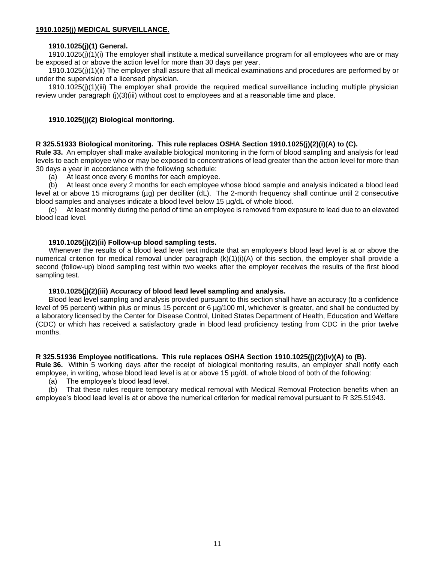# <span id="page-10-1"></span>**[1910.1025\(j\) M](https://www.osha.gov/laws-regs/interlinking/standards/1910.1025(j))EDICAL SURVEILLANCE.**

# **1910.1025(j)(1) General.**

<span id="page-10-2"></span>[1910.1025\(j\)\(1\)\(i\) T](https://www.osha.gov/laws-regs/interlinking/standards/1910.1025(j)(1)(i))he employer shall institute a medical surveillance program for all employees who are or may be exposed at or above the action level for more than 30 days per year.

1910.1025(j)(1)(ii) The employer shall assure that all medical examinations and procedures are performed by or under the supervision of a licensed physician.

1910.1025(j)(1)(iii) The employer shall provide the required medical surveillance including multiple physician review under paragraph (j)(3)(iii) without cost to employees and at a reasonable time and place.

# <span id="page-10-0"></span>**1910.1025(j)(2) Biological monitoring.**

# **R 325.51933 Biological monitoring. This rule replaces OSHA Section 1910.1025(j)(2)(i)(A) to (C).**

**Rule 33.** An employer shall make available biological monitoring in the form of blood sampling and analysis for lead levels to each employee who or may be exposed to concentrations of lead greater than the action level for more than 30 days a year in accordance with the following schedule:

(a) At least once every 6 months for each employee.

(b) At least once every 2 months for each employee whose blood sample and analysis indicated a blood lead level at or above 15 micrograms (µg) per deciliter (dL). The 2-month frequency shall continue until 2 consecutive blood samples and analyses indicate a blood level below 15 µg/dL of whole blood.

(c) At least monthly during the period of time an employee is removed from exposure to lead due to an elevated blood lead level.

# <span id="page-10-3"></span>**[1910.1025\(j\)\(2\)\(ii\) F](https://www.osha.gov/laws-regs/interlinking/standards/1910.1025(j)(2)(ii))ollow-up blood sampling tests.**

Whenever the results of a blood lead level test indicate that an employee's blood lead level is at or above the numerical criterion for medical removal under paragraph (k)(1)(i)(A) of this section, the employer shall provide a second (follow-up) blood sampling test within two weeks after the employer receives the results of the first blood sampling test.

# **1910.1025(j)(2)(iii) Accuracy of blood lead level sampling and analysis.**

<span id="page-10-4"></span>Blood lead level sampling and analysis provided pursuant to this section shall have an accuracy (to a confidence level of 95 percent) within plus or minus 15 percent or 6 µg/100 ml, whichever is greater, and shall be conducted by a laboratory licensed by the Center for Disease Control, United States Department of Health, Education and Welfare (CDC) or which has received a satisfactory grade in blood lead proficiency testing from CDC in the prior twelve months.

# <span id="page-10-5"></span>**R 325.51936 Employee notifications. This rule replaces OSHA Section 1910.1025(j)(2)(iv)(A) to (B).**

**Rule 36.** Within 5 working days after the receipt of biological monitoring results, an employer shall notify each employee, in writing, whose blood lead level is at or above 15 µg/dL of whole blood of both of the following:

(a) The employee's blood lead level.

(b) That these rules require temporary medical removal with Medical Removal Protection benefits when an employee's blood lead level is at or above the numerical criterion for medical removal pursuant to R 325.51943.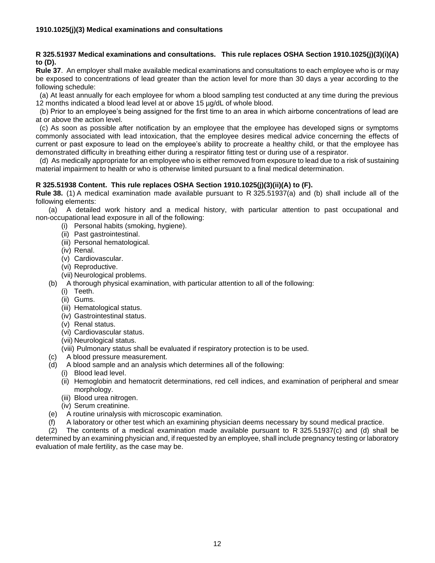# <span id="page-11-2"></span><span id="page-11-0"></span>**R 325.51937 Medical examinations and consultations. This rule replaces OSHA Section 1910.1025(j)(3)(i)(A) to (D).**

**Rule 37**. An employer shall make available medical examinations and consultations to each employee who is or may be exposed to concentrations of lead greater than the action level for more than 30 days a year according to the following schedule:

 (a) At least annually for each employee for whom a blood sampling test conducted at any time during the previous 12 months indicated a blood lead level at or above 15 µg/dL of whole blood.

 (b) Prior to an employee's being assigned for the first time to an area in which airborne concentrations of lead are at or above the action level.

 (c) As soon as possible after notification by an employee that the employee has developed signs or symptoms commonly associated with lead intoxication, that the employee desires medical advice concerning the effects of current or past exposure to lead on the employee's ability to procreate a healthy child, or that the employee has demonstrated difficulty in breathing either during a respirator fitting test or during use of a respirator.

 (d) As medically appropriate for an employee who is either removed from exposure to lead due to a risk of sustaining material impairment to health or who is otherwise limited pursuant to a final medical determination.

# <span id="page-11-1"></span>**R 325.51938 Content. This rule replaces OSHA Section 1910.1025(j)(3)(ii)(A) to (F).**

**Rule 38.** (1) A medical examination made available pursuant to R 325.51937(a) and (b) shall include all of the following elements:

(a) A detailed work history and a medical history, with particular attention to past occupational and non-occupational lead exposure in all of the following:

- (i) Personal habits (smoking, hygiene).
- (ii) Past gastrointestinal.
- (iii) Personal hematological.
- (iv) Renal.
- (v) Cardiovascular.
- (vi) Reproductive.
- (vii) Neurological problems.
- (b) A thorough physical examination, with particular attention to all of the following:
	- (i) Teeth.
	- (ii) Gums.
	- (iii) Hematological status.
	- (iv) Gastrointestinal status.
	- (v) Renal status.
	- (vi) Cardiovascular status.
	- (vii) Neurological status.
	- (viii) Pulmonary status shall be evaluated if respiratory protection is to be used.
- (c) A blood pressure measurement.
- (d) A blood sample and an analysis which determines all of the following:
	- (i) Blood lead level.
	- (ii) Hemoglobin and hematocrit determinations, red cell indices, and examination of peripheral and smear morphology.
	- (iii) Blood urea nitrogen.
	- (iv) Serum creatinine.
- (e) A routine urinalysis with microscopic examination.
- (f) A laboratory or other test which an examining physician deems necessary by sound medical practice.

(2) The contents of a medical examination made available pursuant to R 325.51937(c) and (d) shall be determined by an examining physician and, if requested by an employee, shall include pregnancy testing or laboratory evaluation of male fertility, as the case may be.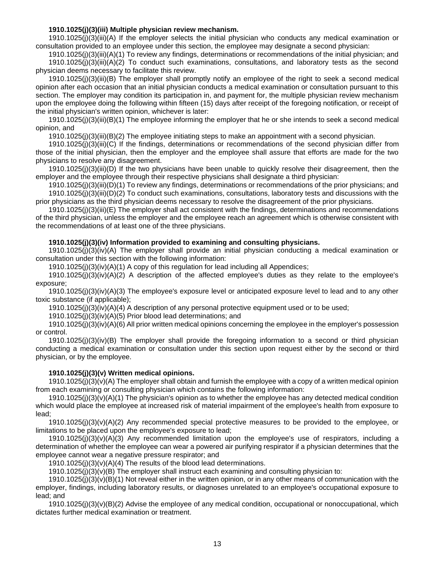# <span id="page-12-0"></span>**[1910.1025\(j\)\(3\)\(iii\) M](https://www.osha.gov/laws-regs/interlinking/standards/1910.1025(j)(3)(iii))ultiple physician review mechanism.**

1910.1025(j)(3)(iii)(A) If the employer selects the initial physician who conducts any medical examination or consultation provided to an employee under this section, the employee may designate a second physician:

1910.1025(j)(3)(iii)(A)(1) To review any findings, determinations or recommendations of the initial physician; and 1910.1025(j)(3)(iii)(A)(2) To conduct such examinations, consultations, and laboratory tests as the second physician deems necessary to facilitate this review.

1910.1025(j)(3)(iii)(B) The employer shall promptly notify an employee of the right to seek a second medical opinion after each occasion that an initial physician conducts a medical examination or consultation pursuant to this section. The employer may condition its participation in, and payment for, the multiple physician review mechanism upon the employee doing the following within fifteen (15) days after receipt of the foregoing notification, or receipt of the initial physician's written opinion, whichever is later:

1910.1025(j)(3)(iii)(B)(1) The employee informing the employer that he or she intends to seek a second medical opinion, and

1910.1025(j)(3)(iii)(B)(2) The employee initiating steps to make an appointment with a second physician.

1910.1025(j)(3)(iii)(C) If the findings, determinations or recommendations of the second physician differ from those of the initial physician, then the employer and the employee shall assure that efforts are made for the two physicians to resolve any disagreement.

1910.1025(j)(3)(iii)(D) If the two physicians have been unable to quickly resolve their disagreement, then the employer and the employee through their respective physicians shall designate a third physician:

1910.1025(j)(3)(iii)(D)(1) To review any findings, determinations or recommendations of the prior physicians; and 1910.1025(j)(3)(iii)(D)(2) To conduct such examinations, consultations, laboratory tests and discussions with the prior physicians as the third physician deems necessary to resolve the disagreement of the prior physicians.

1910.1025(j)(3)(iii)(E) The employer shall act consistent with the findings, determinations and recommendations of the third physician, unless the employer and the employee reach an agreement which is otherwise consistent with the recommendations of at least one of the three physicians.

# **1910.1025(j)(3)(iv) Information provided to examining and consulting physicians.**

<span id="page-12-1"></span>1910.1025(j)(3)(iv)(A) The employer shall provide an initial physician conducting a medical examination or consultation under this section with the following information:

1910.1025(j)(3)(iv)(A)(1) A copy of this regulation for lead including all Appendices;

1910.1025(j)(3)(iv)(A)(2) A description of the affected employee's duties as they relate to the employee's exposure;

1910.1025(j)(3)(iv)(A)(3) The employee's exposure level or anticipated exposure level to lead and to any other toxic substance (if applicable);

1910.1025(j)(3)(iv)(A)(4) A description of any personal protective equipment used or to be used;

1910.1025(j)(3)(iv)(A)(5) Prior blood lead determinations; and

1910.1025(j)(3)(iv)(A)(6) All prior written medical opinions concerning the employee in the employer's possession or control.

1910.1025(j)(3)(iv)(B) The employer shall provide the foregoing information to a second or third physician conducting a medical examination or consultation under this section upon request either by the second or third physician, or by the employee.

# **1910.1025(j)(3)(v) Written medical opinions.**

<span id="page-12-2"></span>1910.1025(j)(3)(v)(A) The employer shall obtain and furnish the employee with a copy of a written medical opinion from each examining or consulting physician which contains the following information:

1910.1025(j)(3)(v)(A)(1) The physician's opinion as to whether the employee has any detected medical condition which would place the employee at increased risk of material impairment of the employee's health from exposure to lead;

1910.1025(j)(3)(v)(A)(2) Any recommended special protective measures to be provided to the employee, or limitations to be placed upon the employee's exposure to lead;

1910.1025(j)(3)(v)(A)(3) Any recommended limitation upon the employee's use of respirators, including a determination of whether the employee can wear a powered air purifying respirator if a physician determines that the employee cannot wear a negative pressure respirator; and

1910.1025(j)(3)(v)(A)(4) The results of the blood lead determinations.

1910.1025(j)(3)(v)(B) The employer shall instruct each examining and consulting physician to:

[1910.1025\(j\)\(3\)\(v\)\(B\)\(1\) N](https://www.osha.gov/laws-regs/interlinking/standards/1910.1025(j)(3)(v)(B)(1))ot reveal either in the written opinion, or in any other means of communication with the employer, findings, including laboratory results, or diagnoses unrelated to an employee's occupational exposure to lead; and

1910.1025(j)(3)(v)(B)(2) Advise the employee of any medical condition, occupational or nonoccupational, which dictates further medical examination or treatment.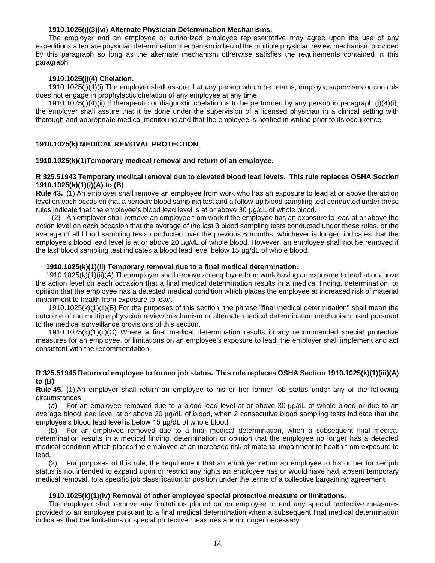### **1910.1025(j)(3)(vi) Alternate Physician Determination Mechanisms.**

<span id="page-13-3"></span>The employer and an employee or authorized employee representative may agree upon the use of any expeditious alternate physician determination mechanism in lieu of the multiple physician review mechanism provided by this paragraph so long as the alternate mechanism otherwise satisfies the requirements contained in this paragraph.

### <span id="page-13-4"></span>**[1910.1025\(j\)\(4\) C](https://www.osha.gov/laws-regs/interlinking/standards/1910.1025(j)(4))helation.**

1910.1025(j)(4)(i) The employer shall assure that any person whom he retains, employs, supervises or controls does not engage in prophylactic chelation of any employee at any time.

1910.1025(j)(4)(ii) If therapeutic or diagnostic chelation is to be performed by any person in paragraph (j)(4)(i), the employer shall assure that it be done under the supervision of a licensed physician in a clinical setting with thorough and appropriate medical monitoring and that the employee is notified in writing prior to its occurrence.

# <span id="page-13-2"></span>**[1910.1025\(k\) M](https://www.osha.gov/laws-regs/interlinking/standards/1910.1025(k))EDICAL REMOVAL PROTECTION**

### **1910.1025(k)(1)Temporary medical removal and return of an employee.**

### <span id="page-13-0"></span>**R 325.51943 Temporary medical removal due to elevated blood lead levels. This rule replaces OSHA Section 1910.1025(k)(1)(i)(A) to (B)**

**Rule 43.** (1) An employer shall remove an employee from work who has an exposure to lead at or above the action level on each occasion that a periodic blood sampling test and a follow-up blood sampling test conducted under these rules indicate that the employee's blood lead level is at or above 30 µg/dL of whole blood.

(2) An employer shall remove an employee from work if the employee has an exposure to lead at or above the action level on each occasion that the average of the last 3 blood sampling tests conducted under these rules, or the average of all blood sampling tests conducted over the previous 6 months, whichever is longer, indicates that the employee's blood lead level is at or above 20 µg/dL of whole blood. However, an employee shall not be removed if the last blood sampling test indicates a blood lead level below 15 µg/dL of whole blood.

### <span id="page-13-5"></span>**[1910.1025\(k\)\(1\)\(ii\)](https://www.osha.gov/laws-regs/interlinking/standards/1910.1025(k)(1)(ii)) Temporary removal due to a final medical determination.**

1910.1025(k)(1)(ii)(A) The employer shall remove an employee from work having an exposure to lead at or above the action level on each occasion that a final medical determination results in a medical finding, determination, or opinion that the employee has a detected medical condition which places the employee at increased risk of material impairment to health from exposure to lead.

1910.1025(k)(1)(ii)(B) For the purposes of this section, the phrase "final medical determination" shall mean the outcome of the multiple physician review mechanism or alternate medical determination mechanism used pursuant to the medical surveillance provisions of this section.

1910.1025(k)(1)(ii)(C) Where a final medical determination results in any recommended special protective measures for an employee, or limitations on an employee's exposure to lead, the employer shall implement and act consistent with the recommendation.

### <span id="page-13-1"></span>**R 325.51945 Return of employee to former job status. This rule replaces OSHA Section 1910.1025(k)(1)(iii)(A) to (B)**

**Rule 45**. (1) An employer shall return an employee to his or her former job status under any of the following circumstances:

(a) For an employee removed due to a blood lead level at or above 30 µg/dL of whole blood or due to an average blood lead level at or above 20 µg/dL of blood, when 2 consecutive blood sampling tests indicate that the employee's blood lead level is below 15 µg/dL of whole blood.

(b) For an employee removed due to a final medical determination, when a subsequent final medical determination results in a medical finding, determination or opinion that the employee no longer has a detected medical condition which places the employee at an increased risk of material impairment to health from exposure to lead.

(2) For purposes of this rule, the requirement that an employer return an employee to his or her former job status is not intended to expand upon or restrict any rights an employee has or would have had, absent temporary medical removal, to a specific job classification or position under the terms of a collective bargaining agreement.

### **1910.1025(k)(1)(iv) Removal of other employee special protective measure or limitations.**

<span id="page-13-6"></span>The employer shall remove any limitations placed on an employee or end any special protective measures provided to an employee pursuant to a final medical determination when a subsequent final medical determination indicates that the limitations or special protective measures are no longer necessary.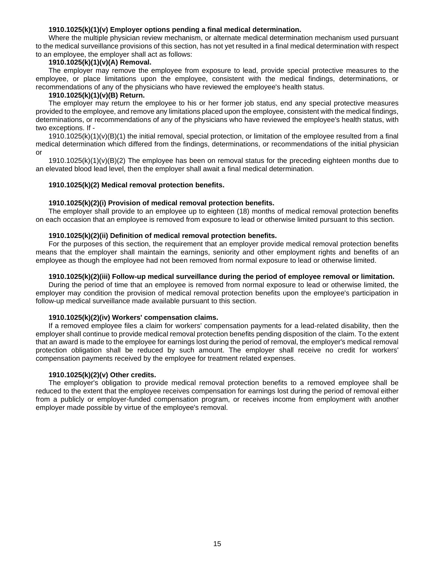# **1910.1025(k)(1)(v) Employer options pending a final medical determination.**

<span id="page-14-0"></span>Where the multiple physician review mechanism, or alternate medical determination mechanism used pursuant to the medical surveillance provisions of this section, has not yet resulted in a final medical determination with respect to an employee, the employer shall act as follows:

# **1910.1025(k)(1)(v)(A) Removal.**

The employer may remove the employee from exposure to lead, provide special protective measures to the employee, or place limitations upon the employee, consistent with the medical findings, determinations, or recommendations of any of the physicians who have reviewed the employee's health status.

### **1910.1025(k)(1)(v)(B) Return.**

The employer may return the employee to his or her former job status, end any special protective measures provided to the employee, and remove any limitations placed upon the employee, consistent with the medical findings, determinations, or recommendations of any of the physicians who have reviewed the employee's health status, with two exceptions. If -

 $1910.1025(k)(1)(v)(B)(1)$  the initial removal, special protection, or limitation of the employee resulted from a final medical determination which differed from the findings, determinations, or recommendations of the initial physician or

1910.1025(k)(1)(v)(B)(2) The employee has been on removal status for the preceding eighteen months due to an elevated blood lead level, then the employer shall await a final medical determination.

# <span id="page-14-1"></span>**[1910.1025\(k\)\(2\) M](https://www.osha.gov/laws-regs/interlinking/standards/1910.1025(k)(2))edical removal protection benefits.**

# **1910.1025(k)(2)(i) Provision of medical removal protection benefits.**

<span id="page-14-2"></span>The employer shall provide to an employee up to eighteen (18) months of medical removal protection benefits on each occasion that an employee is removed from exposure to lead or otherwise limited pursuant to this section.

### **1910.1025(k)(2)(ii) Definition of medical removal protection benefits.**

<span id="page-14-3"></span>For the purposes of this section, the requirement that an employer provide medical removal protection benefits means that the employer shall maintain the earnings, seniority and other employment rights and benefits of an employee as though the employee had not been removed from normal exposure to lead or otherwise limited.

### **1910.1025(k)(2)(iii) Follow-up medical surveillance during the period of employee removal or limitation.**

<span id="page-14-4"></span>During the period of time that an employee is removed from normal exposure to lead or otherwise limited, the employer may condition the provision of medical removal protection benefits upon the employee's participation in follow-up medical surveillance made available pursuant to this section.

# **1910.1025(k)(2)(iv) Workers' compensation claims.**

<span id="page-14-5"></span>If a removed employee files a claim for workers' compensation payments for a lead-related disability, then the employer shall continue to provide medical removal protection benefits pending disposition of the claim. To the extent that an award is made to the employee for earnings lost during the period of removal, the employer's medical removal protection obligation shall be reduced by such amount. The employer shall receive no credit for workers' compensation payments received by the employee for treatment related expenses.

### **1910.1025(k)(2)(v) Other credits.**

<span id="page-14-6"></span>The employer's obligation to provide medical removal protection benefits to a removed employee shall be reduced to the extent that the employee receives compensation for earnings lost during the period of removal either from a publicly or employer-funded compensation program, or receives income from employment with another employer made possible by virtue of the employee's removal.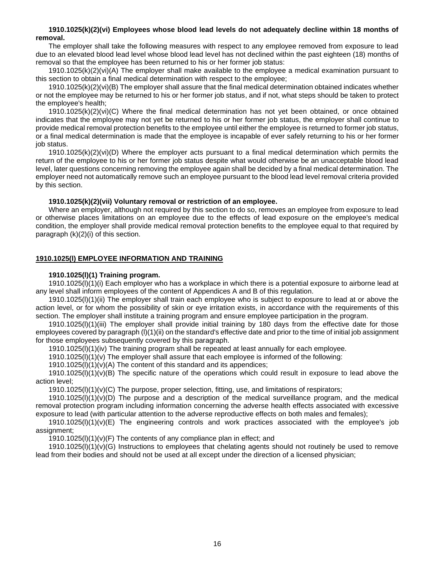# <span id="page-15-1"></span>**1910.1025(k)(2)(vi) Employees whose blood lead levels do not adequately decline within 18 months of removal.**

The employer shall take the following measures with respect to any employee removed from exposure to lead due to an elevated blood lead level whose blood lead level has not declined within the past eighteen (18) months of removal so that the employee has been returned to his or her former job status:

1910.1025(k)(2)(vi)(A) The employer shall make available to the employee a medical examination pursuant to this section to obtain a final medical determination with respect to the employee;

1910.1025(k)(2)(vi)(B) The employer shall assure that the final medical determination obtained indicates whether or not the employee may be returned to his or her former job status, and if not, what steps should be taken to protect the employee's health;

1910.1025(k)(2)(vi)(C) Where the final medical determination has not yet been obtained, or once obtained indicates that the employee may not yet be returned to his or her former job status, the employer shall continue to provide medical removal protection benefits to the employee until either the employee is returned to former job status, or a final medical determination is made that the employee is incapable of ever safely returning to his or her former job status.

1910.1025(k)(2)(vi)(D) Where the employer acts pursuant to a final medical determination which permits the return of the employee to his or her former job status despite what would otherwise be an unacceptable blood lead level, later questions concerning removing the employee again shall be decided by a final medical determination. The employer need not automatically remove such an employee pursuant to the blood lead level removal criteria provided by this section.

# **1910.1025(k)(2)(vii) Voluntary removal or restriction of an employee.**

<span id="page-15-2"></span>Where an employer, although not required by this section to do so, removes an employee from exposure to lead or otherwise places limitations on an employee due to the effects of lead exposure on the employee's medical condition, the employer shall provide medical removal protection benefits to the employee equal to that required by paragraph (k)(2)(i) of this section.

# <span id="page-15-0"></span>**1910.1025(l) EMPLOYEE INFORMATION AND TRAINING**

# **1910.1025(l)(1) Training program.**

<span id="page-15-3"></span>[1910.1025\(l\)\(1\)\(i\) E](https://www.osha.gov/laws-regs/interlinking/standards/1910.1025(l)(1)(i))ach employer who has a workplace in which there is a potential exposure to airborne lead at any level shall inform employees of the content of Appendices A and B of this regulation.

1910.1025(l)(1)(ii) The employer shall train each employee who is subject to exposure to lead at or above the action level, or for whom the possibility of skin or eye irritation exists, in accordance with the requirements of this section. The employer shall institute a training program and ensure employee participation in the program.

[1910.1025\(l\)\(1\)\(iii\) T](https://www.osha.gov/laws-regs/interlinking/standards/1910.1025(l)(1)(iii))he employer shall provide initial training by 180 days from the effective date for those employees covered by paragraph (I)(1)(ii) on the standard's effective date and prior to the time of initial job assignment for those employees subsequently covered by this paragraph.

1910.1025(l)(1)(iv) The training program shall be repeated at least annually for each employee.

1910.1025(l)(1)(v) The employer shall assure that each employee is informed of the following:

1910.1025(l)(1)(v)(A) The content of this standard and its appendices;

1910.1025(l)(1)(v)(B) The specific nature of the operations which could result in exposure to lead above the action level;

1910.1025(l)(1)(v)(C) The purpose, proper selection, fitting, use, and limitations of respirators;

1910.1025(l)(1)(v)(D) The purpose and a description of the medical surveillance program, and the medical removal protection program including information concerning the adverse health effects associated with excessive exposure to lead (with particular attention to the adverse reproductive effects on both males and females);

1910.1025(l)(1)(v)(E) The engineering controls and work practices associated with the employee's job assignment;

 $1910.1025(1)(1)(v)$ (F) The contents of any compliance plan in effect; and

1910.1025(l)(1)(v)(G) Instructions to employees that chelating agents should not routinely be used to remove lead from their bodies and should not be used at all except under the direction of a licensed physician;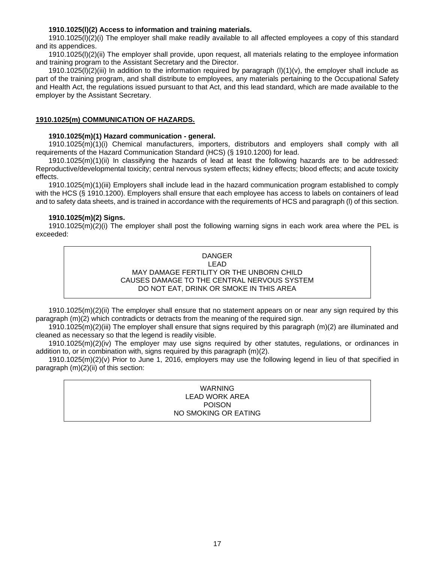# **1910.1025(l)(2) Access to information and training materials.**

<span id="page-16-1"></span>1910.1025(l)(2)(i) The employer shall make readily available to all affected employees a copy of this standard and its appendices.

1910.1025(l)(2)(ii) The employer shall provide, upon request, all materials relating to the employee information and training program to the Assistant Secretary and the Director.

1910.1025(I)(2)(iii) In addition to the information required by paragraph (I)(1)(v), the employer shall include as part of the training program, and shall distribute to employees, any materials pertaining to the Occupational Safety and Health Act, the regulations issued pursuant to that Act, and this lead standard, which are made available to the employer by the Assistant Secretary.

# <span id="page-16-0"></span>**1910.1025(m) COMMUNICATION OF HAZARDS.**

# **1910.1025(m)(1) Hazard communication - general.**

<span id="page-16-2"></span>1910.1025(m)(1)(i) Chemical manufacturers, importers, distributors and employers shall comply with all requirements of the Hazard Communication Standard (HCS) (§ 1910.1200) for lead.

1910.1025(m)(1)(ii) In classifying the hazards of lead at least the following hazards are to be addressed: Reproductive/developmental toxicity; central nervous system effects; kidney effects; blood effects; and acute toxicity effects.

1910.1025(m)(1)(iii) Employers shall include lead in the hazard communication program established to comply with the HCS (§ 1910.1200). Employers shall ensure that each employee has access to labels on containers of lead and to safety data sheets, and is trained in accordance with the requirements of HCS and paragraph (l) of this section.

# **1910.1025(m)(2) Signs.**

<span id="page-16-3"></span>1910.1025(m)(2)(i) The employer shall post the following warning signs in each work area where the PEL is exceeded:

> DANGER LEAD MAY DAMAGE FERTILITY OR THE UNBORN CHILD CAUSES DAMAGE TO THE CENTRAL NERVOUS SYSTEM DO NOT EAT, DRINK OR SMOKE IN THIS AREA

1910.1025(m)(2)(ii) The employer shall ensure that no statement appears on or near any sign required by this paragraph (m)(2) which contradicts or detracts from the meaning of the required sign.

1910.1025(m)(2)(iii) The employer shall ensure that signs required by this paragraph (m)(2) are illuminated and cleaned as necessary so that the legend is readily visible.

1910.1025(m)(2)(iv) The employer may use signs required by other statutes, regulations, or ordinances in addition to, or in combination with, signs required by this paragraph (m)(2).

1910.1025(m)(2)(v) Prior to June 1, 2016, employers may use the following legend in lieu of that specified in paragraph (m)(2)(ii) of this section:

> WARNING LEAD WORK AREA POISON NO SMOKING OR EATING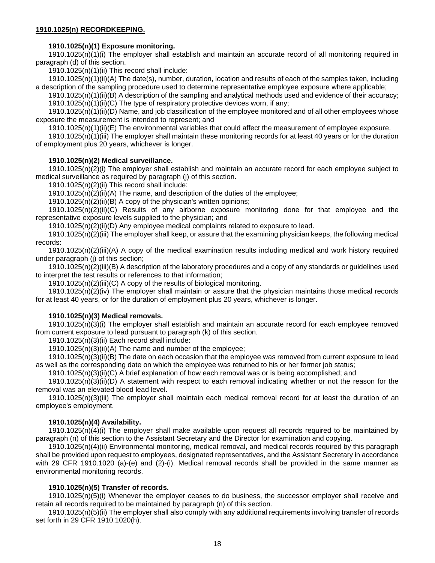# <span id="page-17-0"></span>**1910.1025(n)(1) Exposure monitoring.**

<span id="page-17-1"></span>[1910.1025\(n\)\(1\)\(i\) T](https://www.osha.gov/laws-regs/interlinking/standards/1910.1025(n)(1)(i))he employer shall establish and maintain an accurate record of all monitoring required in paragraph (d) of this section.

1910.1025(n)(1)(ii) This record shall include:

1910.1025(n)(1)(ii)(A) The date(s), number, duration, location and results of each of the samples taken, including a description of the sampling procedure used to determine representative employee exposure where applicable;

1910.1025(n)(1)(ii)(B) A description of the sampling and analytical methods used and evidence of their accuracy; 1910.1025(n)(1)(ii)(C) The type of respiratory protective devices worn, if any;

[1910.1025\(n\)\(1\)\(ii\)\(D\) N](https://www.osha.gov/laws-regs/interlinking/standards/1910.1025(n)(1)(ii)(D))ame, and job classification of the employee monitored and of all other employees whose exposure the measurement is intended to represent; and

1910.1025(n)(1)(ii)(E) The environmental variables that could affect the measurement of employee exposure.

1910.1025(n)(1)(iii) The employer shall maintain these monitoring records for at least 40 years or for the duration of employment plus 20 years, whichever is longer.

# **1910.1025(n)(2) Medical surveillance.**

<span id="page-17-2"></span>1910.1025(n)(2)(i) The employer shall establish and maintain an accurate record for each employee subject to medical surveillance as required by paragraph (j) of this section.

1910.1025(n)(2)(ii) This record shall include:

1910.1025(n)(2)(ii)(A) The name, and description of the duties of the employee;

1910.1025(n)(2)(ii)(B) A copy of the physician's written opinions;

1910.1025(n)(2)(ii)(C) Results of any airborne exposure monitoring done for that employee and the representative exposure levels supplied to the physician; and

1910.1025(n)(2)(ii)(D) Any employee medical complaints related to exposure to lead.

1910.1025(n)(2)(iii) The employer shall keep, or assure that the examining physician keeps, the following medical records:

1910.1025(n)(2)(iii)(A) A copy of the medical examination results including medical and work history required under paragraph (j) of this section;

1910.1025(n)(2)(iii)(B) A description of the laboratory procedures and a copy of any standards or guidelines used to interpret the test results or references to that information;

1910.1025(n)(2)(iii)(C) A copy of the results of biological monitoring.

1910.1025(n)(2)(iv) The employer shall maintain or assure that the physician maintains those medical records for at least 40 years, or for the duration of employment plus 20 years, whichever is longer.

# <span id="page-17-3"></span>**[1910.1025\(n\)\(3\) M](https://www.osha.gov/laws-regs/interlinking/standards/1910.1025(n)(3))edical removals.**

1910.1025(n)(3)(i) The employer shall establish and maintain an accurate record for each employee removed from current exposure to lead pursuant to paragraph (k) of this section.

1910.1025(n)(3)(ii) Each record shall include:

1910.1025(n)(3)(ii)(A) The name and number of the employee;

1910.1025(n)(3)(ii)(B) The date on each occasion that the employee was removed from current exposure to lead as well as the corresponding date on which the employee was returned to his or her former job status;

1910.1025(n)(3)(ii)(C) A brief explanation of how each removal was or is being accomplished; and

1910.1025(n)(3)(ii)(D) A statement with respect to each removal indicating whether or not the reason for the removal was an elevated blood lead level.

1910.1025(n)(3)(iii) The employer shall maintain each medical removal record for at least the duration of an employee's employment.

# **1910.1025(n)(4) Availability.**

<span id="page-17-4"></span>1910.1025(n)(4)(i) The employer shall make available upon request all records required to be maintained by paragraph (n) of this section to the Assistant Secretary and the Director for examination and copying.

1910.1025(n)(4)(ii) Environmental monitoring, medical removal, and medical records required by this paragraph shall be provided upon request to employees, designated representatives, and the Assistant Secretary in accordance with 29 CFR 1910.1020 (a)-(e) and (2)-(i). Medical removal records shall be provided in the same manner as environmental monitoring records.

# **1910.1025(n)(5) Transfer of records.**

<span id="page-17-5"></span>1910.1025(n)(5)(i) Whenever the employer ceases to do business, the successor employer shall receive and retain all records required to be maintained by paragraph (n) of this section.

1910.1025(n)(5)(ii) The employer shall also comply with any additional requirements involving transfer of records set forth in 29 CFR 1910.1020(h).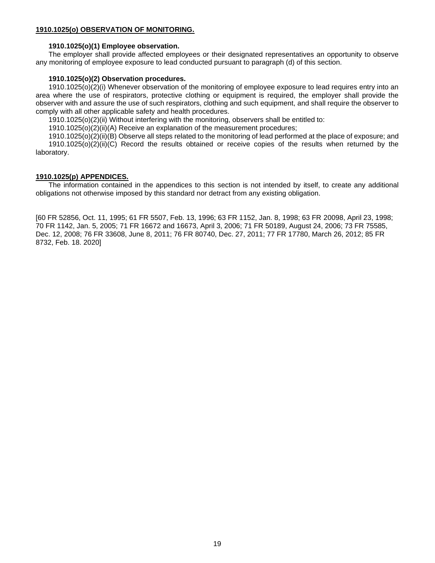# <span id="page-18-0"></span>**1910.1025(o) OBSERVATION OF MONITORING.**

# **1910.1025(o)(1) Employee observation.**

<span id="page-18-2"></span>The employer shall provide affected employees or their designated representatives an opportunity to observe any monitoring of employee exposure to lead conducted pursuant to paragraph (d) of this section.

# **1910.1025(o)(2) Observation procedures.**

<span id="page-18-3"></span>1910.1025(o)(2)(i) Whenever observation of the monitoring of employee exposure to lead requires entry into an area where the use of respirators, protective clothing or equipment is required, the employer shall provide the observer with and assure the use of such respirators, clothing and such equipment, and shall require the observer to comply with all other applicable safety and health procedures.

1910.1025(o)(2)(ii) Without interfering with the monitoring, observers shall be entitled to:

1910.1025(o)(2)(ii)(A) Receive an explanation of the measurement procedures;

1910.1025(o)(2)(ii)(B) Observe all steps related to the monitoring of lead performed at the place of exposure; and 1910.1025(o)(2)(ii)(C) Record the results obtained or receive copies of the results when returned by the laboratory.

# <span id="page-18-1"></span>**1910.1025(p) APPENDICES.**

The information contained in the appendices to this section is not intended by itself, to create any additional obligations not otherwise imposed by this standard nor detract from any existing obligation.

[60 FR 52856, Oct. 11, 1995; 61 FR 5507, Feb. 13, 1996; 63 FR 1152, Jan. 8, 1998; 63 FR 20098, April 23, 1998; 70 FR 1142, Jan. 5, 2005; 71 FR 16672 and 16673, April 3, 2006; 71 FR 50189, August 24, 2006; 73 FR 75585, Dec. 12, 2008; 76 FR 33608, June 8, 2011; 76 FR 80740, Dec. 27, 2011; 77 FR 17780, March 26, 2012; 85 FR 8732, Feb. 18. 2020]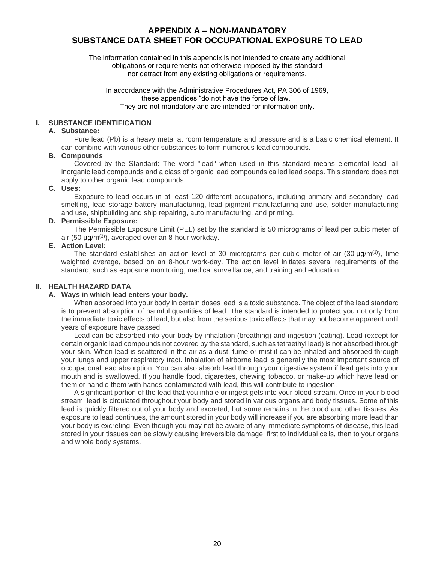# <span id="page-19-1"></span><span id="page-19-0"></span>**APPENDIX A – NON-MANDATORY SUBSTANCE DATA SHEET FOR OCCUPATIONAL EXPOSURE TO LEAD**

The information contained in this appendix is not intended to create any additional obligations or requirements not otherwise imposed by this standard nor detract from any existing obligations or requirements.

In accordance with the Administrative Procedures Act, PA 306 of 1969, these appendices "do not have the force of law." They are not mandatory and are intended for information only.

# <span id="page-19-3"></span><span id="page-19-2"></span>**I. SUBSTANCE IDENTIFICATION**

### **A. Substance:**

Pure lead (Pb) is a heavy metal at room temperature and pressure and is a basic chemical element. It can combine with various other substances to form numerous lead compounds.

### <span id="page-19-4"></span>**B. Compounds**

Covered by the Standard: The word "lead" when used in this standard means elemental lead, all inorganic lead compounds and a class of organic lead compounds called lead soaps. This standard does not apply to other organic lead compounds.

# <span id="page-19-5"></span>**C. Uses:**

Exposure to lead occurs in at least 120 different occupations, including primary and secondary lead smelting, lead storage battery manufacturing, lead pigment manufacturing and use, solder manufacturing and use, shipbuilding and ship repairing, auto manufacturing, and printing.

### <span id="page-19-6"></span>**D. Permissible Exposure:**

The Permissible Exposure Limit (PEL) set by the standard is 50 micrograms of lead per cubic meter of air (50  $\mu$ g/m<sup>(3)</sup>), averaged over an 8-hour workday.

### <span id="page-19-7"></span>**E. Action Level:**

The standard establishes an action level of 30 micrograms per cubic meter of air (30  $\mu$ g/m<sup>(3)</sup>), time weighted average, based on an 8-hour work-day. The action level initiates several requirements of the standard, such as exposure monitoring, medical surveillance, and training and education.

### <span id="page-19-9"></span><span id="page-19-8"></span>**II. HEALTH HAZARD DATA**

# **A. Ways in which lead enters your body.**

When absorbed into your body in certain doses lead is a toxic substance. The object of the lead standard is to prevent absorption of harmful quantities of lead. The standard is intended to protect you not only from the immediate toxic effects of lead, but also from the serious toxic effects that may not become apparent until years of exposure have passed.

Lead can be absorbed into your body by inhalation (breathing) and ingestion (eating). Lead (except for certain organic lead compounds not covered by the standard, such as tetraethyl lead) is not absorbed through your skin. When lead is scattered in the air as a dust, fume or mist it can be inhaled and absorbed through your lungs and upper respiratory tract. Inhalation of airborne lead is generally the most important source of occupational lead absorption. You can also absorb lead through your digestive system if lead gets into your mouth and is swallowed. If you handle food, cigarettes, chewing tobacco, or make-up which have lead on them or handle them with hands contaminated with lead, this will contribute to ingestion.

A significant portion of the lead that you inhale or ingest gets into your blood stream. Once in your blood stream, lead is circulated throughout your body and stored in various organs and body tissues. Some of this lead is quickly filtered out of your body and excreted, but some remains in the blood and other tissues. As exposure to lead continues, the amount stored in your body will increase if you are absorbing more lead than your body is excreting. Even though you may not be aware of any immediate symptoms of disease, this lead stored in your tissues can be slowly causing irreversible damage, first to individual cells, then to your organs and whole body systems.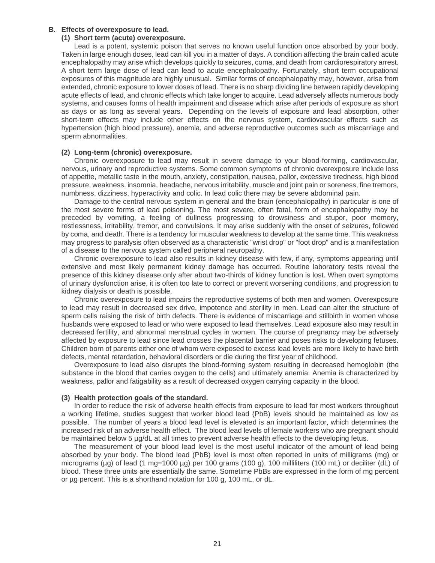#### <span id="page-20-1"></span><span id="page-20-0"></span>**B. Effects of overexposure to lead.**

#### **(1) Short term (acute) overexposure.**

Lead is a potent, systemic poison that serves no known useful function once absorbed by your body. Taken in large enough doses, lead can kill you in a matter of days. A condition affecting the brain called acute encephalopathy may arise which develops quickly to seizures, coma, and death from cardiorespiratory arrest. A short term large dose of lead can lead to acute encephalopathy. Fortunately, short term occupational exposures of this magnitude are highly unusual. Similar forms of encephalopathy may, however, arise from extended, chronic exposure to lower doses of lead. There is no sharp dividing line between rapidly developing acute effects of lead, and chronic effects which take longer to acquire. Lead adversely affects numerous body systems, and causes forms of health impairment and disease which arise after periods of exposure as short as days or as long as several years. Depending on the levels of exposure and lead absorption, other short-term effects may include other effects on the nervous system, cardiovascular effects such as hypertension (high blood pressure), anemia, and adverse reproductive outcomes such as miscarriage and sperm abnormalities.

### <span id="page-20-2"></span>**(2) Long-term (chronic) overexposure.**

Chronic overexposure to lead may result in severe damage to your blood-forming, cardiovascular, nervous, urinary and reproductive systems. Some common symptoms of chronic overexposure include loss of appetite, metallic taste in the mouth, anxiety, constipation, nausea, pallor, excessive tiredness, high blood pressure, weakness, insomnia, headache, nervous irritability, muscle and joint pain or soreness, fine tremors, numbness, dizziness, hyperactivity and colic. In lead colic there may be severe abdominal pain.

Damage to the central nervous system in general and the brain (encephalopathy) in particular is one of the most severe forms of lead poisoning. The most severe, often fatal, form of encephalopathy may be preceded by vomiting, a feeling of dullness progressing to drowsiness and stupor, poor memory, restlessness, irritability, tremor, and convulsions. It may arise suddenly with the onset of seizures, followed by coma, and death. There is a tendency for muscular weakness to develop at the same time. This weakness may progress to paralysis often observed as a characteristic "wrist drop" or "foot drop" and is a manifestation of a disease to the nervous system called peripheral neuropathy.

Chronic overexposure to lead also results in kidney disease with few, if any, symptoms appearing until extensive and most likely permanent kidney damage has occurred. Routine laboratory tests reveal the presence of this kidney disease only after about two-thirds of kidney function is lost. When overt symptoms of urinary dysfunction arise, it is often too late to correct or prevent worsening conditions, and progression to kidney dialysis or death is possible.

Chronic overexposure to lead impairs the reproductive systems of both men and women. Overexposure to lead may result in decreased sex drive, impotence and sterility in men. Lead can alter the structure of sperm cells raising the risk of birth defects. There is evidence of miscarriage and stillbirth in women whose husbands were exposed to lead or who were exposed to lead themselves. Lead exposure also may result in decreased fertility, and abnormal menstrual cycles in women. The course of pregnancy may be adversely affected by exposure to lead since lead crosses the placental barrier and poses risks to developing fetuses. Children born of parents either one of whom were exposed to excess lead levels are more likely to have birth defects, mental retardation, behavioral disorders or die during the first year of childhood.

Overexposure to lead also disrupts the blood-forming system resulting in decreased hemoglobin (the substance in the blood that carries oxygen to the cells) and ultimately anemia. Anemia is characterized by weakness, pallor and fatigability as a result of decreased oxygen carrying capacity in the blood.

### <span id="page-20-3"></span>**(3) Health protection goals of the standard.**

In order to reduce the risk of adverse health effects from exposure to lead for most workers throughout a working lifetime, studies suggest that worker blood lead (PbB) levels should be maintained as low as possible. The number of years a blood lead level is elevated is an important factor, which determines the increased risk of an adverse health effect. The blood lead levels of female workers who are pregnant should be maintained below 5  $\mu$ g/dL at all times to prevent adverse health effects to the developing fetus.

The measurement of your blood lead level is the most useful indicator of the amount of lead being absorbed by your body. The blood lead (PbB) level is most often reported in units of milligrams (mg) or micrograms (µg) of lead (1 mg=1000 µg) per 100 grams (100 g), 100 milliliters (100 mL) or deciliter (dL) of blood. These three units are essentially the same. Sometime PbBs are expressed in the form of mg percent or µg percent. This is a shorthand notation for 100 g, 100 mL, or dL.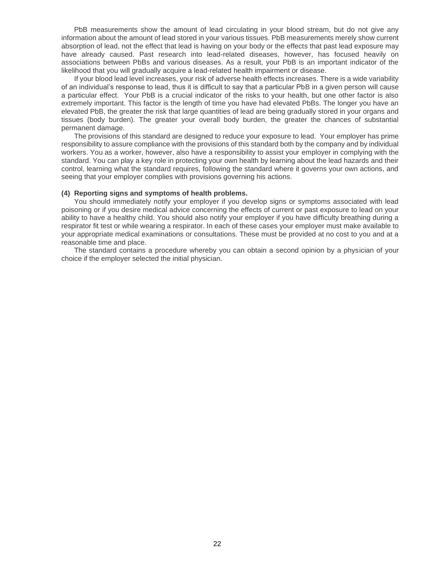PbB measurements show the amount of lead circulating in your blood stream, but do not give any information about the amount of lead stored in your various tissues. PbB measurements merely show current absorption of lead, not the effect that lead is having on your body or the effects that past lead exposure may have already caused. Past research into lead-related diseases, however, has focused heavily on associations between PbBs and various diseases. As a result, your PbB is an important indicator of the likelihood that you will gradually acquire a lead-related health impairment or disease.

If your blood lead level increases, your risk of adverse health effects increases. There is a wide variability of an individual's response to lead, thus it is difficult to say that a particular PbB in a given person will cause a particular effect. Your PbB is a crucial indicator of the risks to your health, but one other factor is also extremely important. This factor is the length of time you have had elevated PbBs. The longer you have an elevated PbB, the greater the risk that large quantities of lead are being gradually stored in your organs and tissues (body burden). The greater your overall body burden, the greater the chances of substantial permanent damage.

The provisions of this standard are designed to reduce your exposure to lead. Your employer has prime responsibility to assure compliance with the provisions of this standard both by the company and by individual workers. You as a worker, however, also have a responsibility to assist your employer in complying with the standard. You can play a key role in protecting your own health by learning about the lead hazards and their control, learning what the standard requires, following the standard where it governs your own actions, and seeing that your employer complies with provisions governing his actions.

### <span id="page-21-0"></span>**(4) Reporting signs and symptoms of health problems.**

You should immediately notify your employer if you develop signs or symptoms associated with lead poisoning or if you desire medical advice concerning the effects of current or past exposure to lead on your ability to have a healthy child. You should also notify your employer if you have difficulty breathing during a respirator fit test or while wearing a respirator. In each of these cases your employer must make available to your appropriate medical examinations or consultations. These must be provided at no cost to you and at a reasonable time and place.

The standard contains a procedure whereby you can obtain a second opinion by a physician of your choice if the employer selected the initial physician.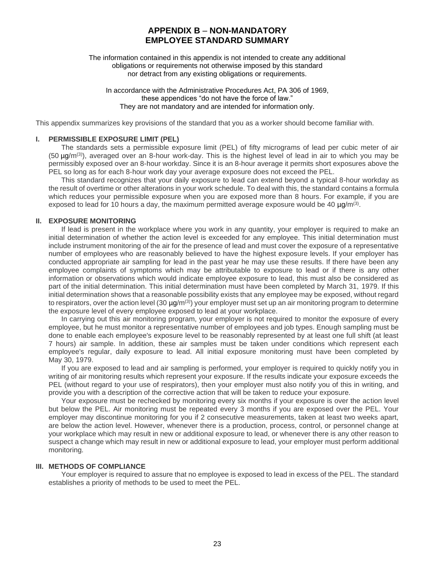# **APPENDIX B** – **NON-MANDATORY EMPLOYEE STANDARD SUMMARY**

<span id="page-22-1"></span><span id="page-22-0"></span>The information contained in this appendix is not intended to create any additional obligations or requirements not otherwise imposed by this standard nor detract from any existing obligations or requirements.

In accordance with the Administrative Procedures Act, PA 306 of 1969, these appendices "do not have the force of law." They are not mandatory and are intended for information only.

This appendix summarizes key provisions of the standard that you as a worker should become familiar with.

# <span id="page-22-2"></span>**I. PERMISSIBLE EXPOSURE LIMIT (PEL)**

The standards sets a permissible exposure limit (PEL) of fifty micrograms of lead per cubic meter of air  $(50 \mu q/m^{(3)})$ , averaged over an 8-hour work-day. This is the highest level of lead in air to which you may be permissibly exposed over an 8-hour workday. Since it is an 8-hour average it permits short exposures above the PEL so long as for each 8-hour work day your average exposure does not exceed the PEL.

This standard recognizes that your daily exposure to lead can extend beyond a typical 8-hour workday as the result of overtime or other alterations in your work schedule. To deal with this, the standard contains a formula which reduces your permissible exposure when you are exposed more than 8 hours. For example, if you are exposed to lead for 10 hours a day, the maximum permitted average exposure would be 40  $\mu$ g/m<sup>(3)</sup>.

# <span id="page-22-3"></span>**II. EXPOSURE MONITORING**

If lead is present in the workplace where you work in any quantity, your employer is required to make an initial determination of whether the action level is exceeded for any employee. This initial determination must include instrument monitoring of the air for the presence of lead and must cover the exposure of a representative number of employees who are reasonably believed to have the highest exposure levels. If your employer has conducted appropriate air sampling for lead in the past year he may use these results. If there have been any employee complaints of symptoms which may be attributable to exposure to lead or if there is any other information or observations which would indicate employee exposure to lead, this must also be considered as part of the initial determination. This initial determination must have been completed by March 31, 1979. If this initial determination shows that a reasonable possibility exists that any employee may be exposed, without regard to respirators, over the action level (30  $\mu$ g/m<sup>(3)</sup>) your employer must set up an air monitoring program to determine the exposure level of every employee exposed to lead at your workplace.

In carrying out this air monitoring program, your employer is not required to monitor the exposure of every employee, but he must monitor a representative number of employees and job types. Enough sampling must be done to enable each employee's exposure level to be reasonably represented by at least one full shift (at least 7 hours) air sample. In addition, these air samples must be taken under conditions which represent each employee's regular, daily exposure to lead. All initial exposure monitoring must have been completed by May 30, 1979.

If you are exposed to lead and air sampling is performed, your employer is required to quickly notify you in writing of air monitoring results which represent your exposure. If the results indicate your exposure exceeds the PEL (without regard to your use of respirators), then your employer must also notify you of this in writing, and provide you with a description of the corrective action that will be taken to reduce your exposure.

Your exposure must be rechecked by monitoring every six months if your exposure is over the action level but below the PEL. Air monitoring must be repeated every 3 months if you are exposed over the PEL. Your employer may discontinue monitoring for you if 2 consecutive measurements, taken at least two weeks apart, are below the action level. However, whenever there is a production, process, control, or personnel change at your workplace which may result in new or additional exposure to lead, or whenever there is any other reason to suspect a change which may result in new or additional exposure to lead, your employer must perform additional monitoring.

### <span id="page-22-4"></span>**III. METHODS OF COMPLIANCE**

Your employer is required to assure that no employee is exposed to lead in excess of the PEL. The standard establishes a priority of methods to be used to meet the PEL.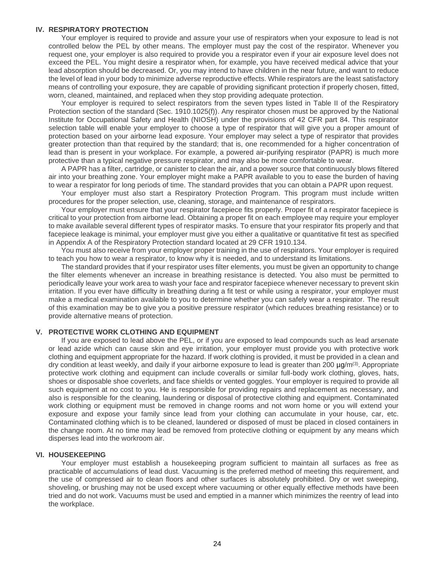### <span id="page-23-0"></span>**IV. RESPIRATORY PROTECTION**

Your employer is required to provide and assure your use of respirators when your exposure to lead is not controlled below the PEL by other means. The employer must pay the cost of the respirator. Whenever you request one, your employer is also required to provide you a respirator even if your air exposure level does not exceed the PEL. You might desire a respirator when, for example, you have received medical advice that your lead absorption should be decreased. Or, you may intend to have children in the near future, and want to reduce the level of lead in your body to minimize adverse reproductive effects. While respirators are the least satisfactory means of controlling your exposure, they are capable of providing significant protection if properly chosen, fitted, worn, cleaned, maintained, and replaced when they stop providing adequate protection.

Your employer is required to select respirators from the seven types listed in Table II of the Respiratory Protection section of the standard (Sec. 1910.1025(f)). Any respirator chosen must be approved by the National Institute for Occupational Safety and Health (NIOSH) under the provisions of 42 CFR part 84. This respirator selection table will enable your employer to choose a type of respirator that will give you a proper amount of protection based on your airborne lead exposure. Your employer may select a type of respirator that provides greater protection than that required by the standard; that is, one recommended for a higher concentration of lead than is present in your workplace. For example, a powered air-purifying respirator (PAPR) is much more protective than a typical negative pressure respirator, and may also be more comfortable to wear.

A PAPR has a filter, cartridge, or canister to clean the air, and a power source that continuously blows filtered air into your breathing zone. Your employer might make a PAPR available to you to ease the burden of having to wear a respirator for long periods of time. The standard provides that you can obtain a PAPR upon request.

Your employer must also start a Respiratory Protection Program. This program must include written procedures for the proper selection, use, cleaning, storage, and maintenance of respirators.

Your employer must ensure that your respirator facepiece fits properly. Proper fit of a respirator facepiece is critical to your protection from airborne lead. Obtaining a proper fit on each employee may require your employer to make available several different types of respirator masks. To ensure that your respirator fits properly and that facepiece leakage is minimal, your employer must give you either a qualitative or quantitative fit test as specified in Appendix A of the Respiratory Protection standard located at 29 CFR 1910.134.

You must also receive from your employer proper training in the use of respirators. Your employer is required to teach you how to wear a respirator, to know why it is needed, and to understand its limitations.

The standard provides that if your respirator uses filter elements, you must be given an opportunity to change the filter elements whenever an increase in breathing resistance is detected. You also must be permitted to periodically leave your work area to wash your face and respirator facepiece whenever necessary to prevent skin irritation. If you ever have difficulty in breathing during a fit test or while using a respirator, your employer must make a medical examination available to you to determine whether you can safely wear a respirator. The result of this examination may be to give you a positive pressure respirator (which reduces breathing resistance) or to provide alternative means of protection.

### <span id="page-23-1"></span>**V. PROTECTIVE WORK CLOTHING AND EQUIPMENT**

If you are exposed to lead above the PEL, or if you are exposed to lead compounds such as lead arsenate or lead azide which can cause skin and eye irritation, your employer must provide you with protective work clothing and equipment appropriate for the hazard. If work clothing is provided, it must be provided in a clean and dry condition at least weekly, and daily if your airborne exposure to lead is greater than 200  $\mu$ g/m<sup>(3)</sup>. Appropriate protective work clothing and equipment can include coveralls or similar full-body work clothing, gloves, hats, shoes or disposable shoe coverlets, and face shields or vented goggles. Your employer is required to provide all such equipment at no cost to you. He is responsible for providing repairs and replacement as necessary, and also is responsible for the cleaning, laundering or disposal of protective clothing and equipment. Contaminated work clothing or equipment must be removed in change rooms and not worn home or you will extend your exposure and expose your family since lead from your clothing can accumulate in your house, car, etc. Contaminated clothing which is to be cleaned, laundered or disposed of must be placed in closed containers in the change room. At no time may lead be removed from protective clothing or equipment by any means which disperses lead into the workroom air.

### <span id="page-23-2"></span>**VI. HOUSEKEEPING**

Your employer must establish a housekeeping program sufficient to maintain all surfaces as free as practicable of accumulations of lead dust. Vacuuming is the preferred method of meeting this requirement, and the use of compressed air to clean floors and other surfaces is absolutely prohibited. Dry or wet sweeping, shoveling, or brushing may not be used except where vacuuming or other equally effective methods have been tried and do not work. Vacuums must be used and emptied in a manner which minimizes the reentry of lead into the workplace.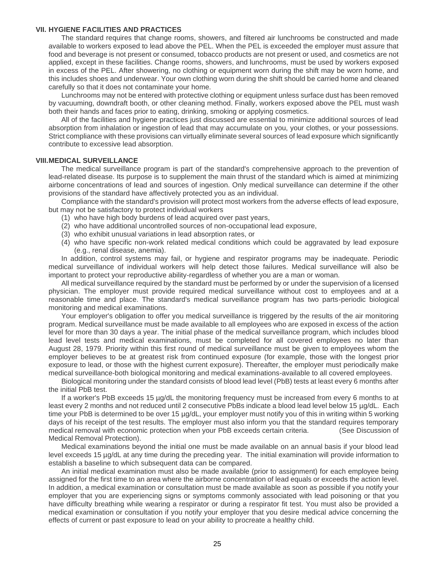#### <span id="page-24-0"></span>**VII. HYGIENE FACILITIES AND PRACTICES**

The standard requires that change rooms, showers, and filtered air lunchrooms be constructed and made available to workers exposed to lead above the PEL. When the PEL is exceeded the employer must assure that food and beverage is not present or consumed, tobacco products are not present or used, and cosmetics are not applied, except in these facilities. Change rooms, showers, and lunchrooms, must be used by workers exposed in excess of the PEL. After showering, no clothing or equipment worn during the shift may be worn home, and this includes shoes and underwear. Your own clothing worn during the shift should be carried home and cleaned carefully so that it does not contaminate your home.

Lunchrooms may not be entered with protective clothing or equipment unless surface dust has been removed by vacuuming, downdraft booth, or other cleaning method. Finally, workers exposed above the PEL must wash both their hands and faces prior to eating, drinking, smoking or applying cosmetics.

All of the facilities and hygiene practices just discussed are essential to minimize additional sources of lead absorption from inhalation or ingestion of lead that may accumulate on you, your clothes, or your possessions. Strict compliance with these provisions can virtually eliminate several sources of lead exposure which significantly contribute to excessive lead absorption.

### <span id="page-24-1"></span>**VIII.MEDICAL SURVEILLANCE**

The medical surveillance program is part of the standard's comprehensive approach to the prevention of lead-related disease. Its purpose is to supplement the main thrust of the standard which is aimed at minimizing airborne concentrations of lead and sources of ingestion. Only medical surveillance can determine if the other provisions of the standard have affectively protected you as an individual.

Compliance with the standard's provision will protect most workers from the adverse effects of lead exposure, but may not be satisfactory to protect individual workers

- (1) who have high body burdens of lead acquired over past years,
- (2) who have additional uncontrolled sources of non-occupational lead exposure,
- (3) who exhibit unusual variations in lead absorption rates, or
- (4) who have specific non-work related medical conditions which could be aggravated by lead exposure (e.g., renal disease, anemia).

In addition, control systems may fail, or hygiene and respirator programs may be inadequate. Periodic medical surveillance of individual workers will help detect those failures. Medical surveillance will also be important to protect your reproductive ability-regardless of whether you are a man or woman.

All medical surveillance required by the standard must be performed by or under the supervision of a licensed physician. The employer must provide required medical surveillance without cost to employees and at a reasonable time and place. The standard's medical surveillance program has two parts-periodic biological monitoring and medical examinations.

Your employer's obligation to offer you medical surveillance is triggered by the results of the air monitoring program. Medical surveillance must be made available to all employees who are exposed in excess of the action level for more than 30 days a year. The initial phase of the medical surveillance program, which includes blood lead level tests and medical examinations, must be completed for all covered employees no later than August 28, 1979. Priority within this first round of medical surveillance must be given to employees whom the employer believes to be at greatest risk from continued exposure (for example, those with the longest prior exposure to lead, or those with the highest current exposure). Thereafter, the employer must periodically make medical surveillance-both biological monitoring and medical examinations-available to all covered employees.

Biological monitoring under the standard consists of blood lead level (PbB) tests at least every 6 months after the initial PbB test.

If a worker's PbB exceeds 15 µg/dL the monitoring frequency must be increased from every 6 months to at least every 2 months and not reduced until 2 consecutive PbBs indicate a blood lead level below 15 µg/dL. Each time your PbB is determined to be over 15 µg/dL, your employer must notify you of this in writing within 5 working days of his receipt of the test results. The employer must also inform you that the standard requires temporary medical removal with economic protection when your PbB exceeds certain criteria. (See Discussion of Medical Removal Protection).

Medical examinations beyond the initial one must be made available on an annual basis if your blood lead level exceeds 15 µg/dL at any time during the preceding year. The initial examination will provide information to establish a baseline to which subsequent data can be compared.

An initial medical examination must also be made available (prior to assignment) for each employee being assigned for the first time to an area where the airborne concentration of lead equals or exceeds the action level. In addition, a medical examination or consultation must be made available as soon as possible if you notify your employer that you are experiencing signs or symptoms commonly associated with lead poisoning or that you have difficulty breathing while wearing a respirator or during a respirator fit test. You must also be provided a medical examination or consultation if you notify your employer that you desire medical advice concerning the effects of current or past exposure to lead on your ability to procreate a healthy child.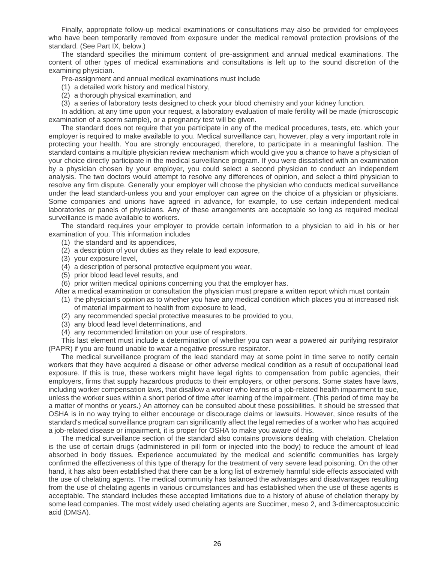Finally, appropriate follow-up medical examinations or consultations may also be provided for employees who have been temporarily removed from exposure under the medical removal protection provisions of the standard. (See Part IX, below.)

The standard specifies the minimum content of pre-assignment and annual medical examinations. The content of other types of medical examinations and consultations is left up to the sound discretion of the examining physician.

Pre-assignment and annual medical examinations must include

(1) a detailed work history and medical history,

(2) a thorough physical examination, and

(3) a series of laboratory tests designed to check your blood chemistry and your kidney function.

In addition, at any time upon your request, a laboratory evaluation of male fertility will be made (microscopic examination of a sperm sample), or a pregnancy test will be given.

The standard does not require that you participate in any of the medical procedures, tests, etc. which your employer is required to make available to you. Medical surveillance can, however, play a very important role in protecting your health. You are strongly encouraged, therefore, to participate in a meaningful fashion. The standard contains a multiple physician review mechanism which would give you a chance to have a physician of your choice directly participate in the medical surveillance program. If you were dissatisfied with an examination by a physician chosen by your employer, you could select a second physician to conduct an independent analysis. The two doctors would attempt to resolve any differences of opinion, and select a third physician to resolve any firm dispute. Generally your employer will choose the physician who conducts medical surveillance under the lead standard-unless you and your employer can agree on the choice of a physician or physicians. Some companies and unions have agreed in advance, for example, to use certain independent medical laboratories or panels of physicians. Any of these arrangements are acceptable so long as required medical surveillance is made available to workers.

The standard requires your employer to provide certain information to a physician to aid in his or her examination of you. This information includes

- (1) the standard and its appendices,
- (2) a description of your duties as they relate to lead exposure,
- (3) your exposure level,
- (4) a description of personal protective equipment you wear,
- (5) prior blood lead level results, and
- (6) prior written medical opinions concerning you that the employer has.

After a medical examination or consultation the physician must prepare a written report which must contain

- (1) the physician's opinion as to whether you have any medical condition which places you at increased risk of material impairment to health from exposure to lead,
- (2) any recommended special protective measures to be provided to you,
- (3) any blood lead level determinations, and
- (4) any recommended limitation on your use of respirators.

This last element must include a determination of whether you can wear a powered air purifying respirator (PAPR) if you are found unable to wear a negative pressure respirator.

The medical surveillance program of the lead standard may at some point in time serve to notify certain workers that they have acquired a disease or other adverse medical condition as a result of occupational lead exposure. If this is true, these workers might have legal rights to compensation from public agencies, their employers, firms that supply hazardous products to their employers, or other persons. Some states have laws, including worker compensation laws, that disallow a worker who learns of a job-related health impairment to sue, unless the worker sues within a short period of time after learning of the impairment. (This period of time may be a matter of months or years.) An attorney can be consulted about these possibilities. It should be stressed that OSHA is in no way trying to either encourage or discourage claims or lawsuits. However, since results of the standard's medical surveillance program can significantly affect the legal remedies of a worker who has acquired a job-related disease or impairment, it is proper for OSHA to make you aware of this.

The medical surveillance section of the standard also contains provisions dealing with chelation. Chelation is the use of certain drugs (administered in pill form or injected into the body) to reduce the amount of lead absorbed in body tissues. Experience accumulated by the medical and scientific communities has largely confirmed the effectiveness of this type of therapy for the treatment of very severe lead poisoning. On the other hand, it has also been established that there can be a long list of extremely harmful side effects associated with the use of chelating agents. The medical community has balanced the advantages and disadvantages resulting from the use of chelating agents in various circumstances and has established when the use of these agents is acceptable. The standard includes these accepted limitations due to a history of abuse of chelation therapy by some lead companies. The most widely used chelating agents are Succimer, meso 2, and 3-dimercaptosuccinic acid (DMSA).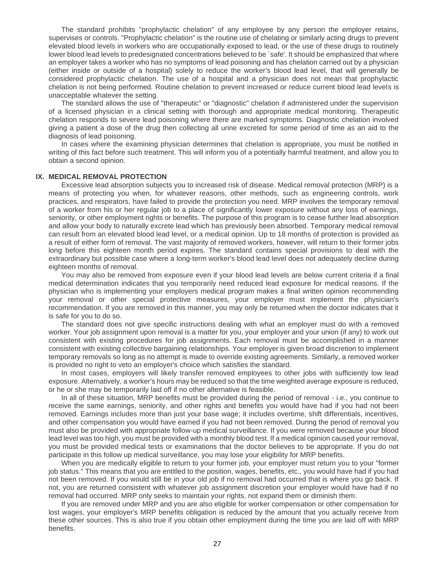The standard prohibits "prophylactic chelation" of any employee by any person the employer retains, supervises or controls. "Prophylactic chelation" is the routine use of chelating or similarly acting drugs to prevent elevated blood levels in workers who are occupationally exposed to lead, or the use of these drugs to routinely lower blood lead levels to predesignated concentrations believed to be `safe'. It should be emphasized that where an employer takes a worker who has no symptoms of lead poisoning and has chelation carried out by a physician (either inside or outside of a hospital) solely to reduce the worker's blood lead level, that will generally be considered prophylactic chelation. The use of a hospital and a physician does not mean that prophylactic chelation is not being performed. Routine chelation to prevent increased or reduce current blood lead levels is unacceptable whatever the setting.

The standard allows the use of "therapeutic" or "diagnostic" chelation if administered under the supervision of a licensed physician in a clinical setting with thorough and appropriate medical monitoring. Therapeutic chelation responds to severe lead poisoning where there are marked symptoms. Diagnostic chelation involved giving a patient a dose of the drug then collecting all urine excreted for some period of time as an aid to the diagnosis of lead poisoning.

In cases where the examining physician determines that chelation is appropriate, you must be notified in writing of this fact before such treatment. This will inform you of a potentially harmful treatment, and allow you to obtain a second opinion.

### <span id="page-26-0"></span>**IX. MEDICAL REMOVAL PROTECTION**

Excessive lead absorption subjects you to increased risk of disease. Medical removal protection (MRP) is a means of protecting you when, for whatever reasons, other methods, such as engineering controls, work practices, and respirators, have failed to provide the protection you need. MRP involves the temporary removal of a worker from his or her regular job to a place of significantly lower exposure without any loss of earnings, seniority, or other employment rights or benefits. The purpose of this program is to cease further lead absorption and allow your body to naturally excrete lead which has previously been absorbed. Temporary medical removal can result from an elevated blood lead level, or a medical opinion. Up to 18 months of protection is provided as a result of either form of removal. The vast majority of removed workers, however, will return to their former jobs long before this eighteen month period expires. The standard contains special provisions to deal with the extraordinary but possible case where a long-term worker's blood lead level does not adequately decline during eighteen months of removal.

You may also be removed from exposure even if your blood lead levels are below current criteria if a final medical determination indicates that you temporarily need reduced lead exposure for medical reasons. If the physician who is implementing your employers medical program makes a final written opinion recommending your removal or other special protective measures, your employer must implement the physician's recommendation. If you are removed in this manner, you may only be returned when the doctor indicates that it is safe for you to do so.

The standard does not give specific instructions dealing with what an employer must do with a removed worker. Your job assignment upon removal is a matter for you, your employer and your union (if any) to work out consistent with existing procedures for job assignments. Each removal must be accomplished in a manner consistent with existing collective bargaining relationships. Your employer is given broad discretion to implement temporary removals so long as no attempt is made to override existing agreements. Similarly, a removed worker is provided no right to veto an employer's choice which satisfies the standard.

In most cases, employers will likely transfer removed employees to other jobs with sufficiently low lead exposure. Alternatively, a worker's hours may be reduced so that the time weighted average exposure is reduced, or he or she may be temporarily laid off if no other alternative is feasible.

In all of these situation, MRP benefits must be provided during the period of removal - i.e., you continue to receive the same earnings, seniority, and other rights and benefits you would have had if you had not been removed. Earnings includes more than just your base wage; it includes overtime, shift differentials, incentives, and other compensation you would have earned if you had not been removed. During the period of removal you must also be provided with appropriate follow-up medical surveillance. If you were removed because your blood lead level was too high, you must be provided with a monthly blood test. If a medical opinion caused your removal, you must be provided medical tests or examinations that the doctor believes to be appropriate. If you do not participate in this follow up medical surveillance, you may lose your eligibility for MRP benefits.

When you are medically eligible to return to your former job, your employer must return you to your "former job status." This means that you are entitled to the position, wages, benefits, etc., you would have had if you had not been removed. If you would still be in your old job if no removal had occurred that is where you go back. If not, you are returned consistent with whatever job assignment discretion your employer would have had if no removal had occurred. MRP only seeks to maintain your rights, not expand them or diminish them.

If you are removed under MRP and you are also eligible for worker compensation or other compensation for lost wages, your employer's MRP benefits obligation is reduced by the amount that you actually receive from these other sources. This is also true if you obtain other employment during the time you are laid off with MRP benefits.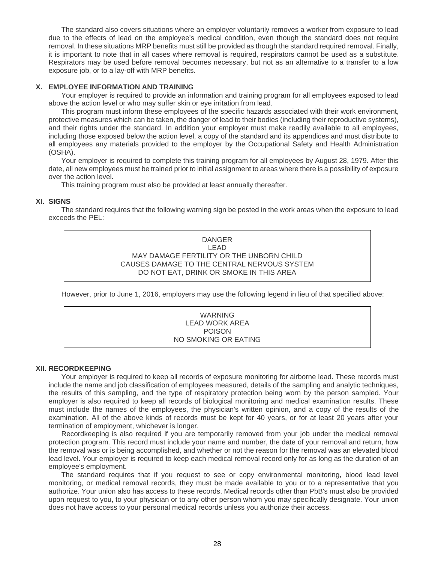The standard also covers situations where an employer voluntarily removes a worker from exposure to lead due to the effects of lead on the employee's medical condition, even though the standard does not require removal. In these situations MRP benefits must still be provided as though the standard required removal. Finally, it is important to note that in all cases where removal is required, respirators cannot be used as a substitute. Respirators may be used before removal becomes necessary, but not as an alternative to a transfer to a low exposure job, or to a lay-off with MRP benefits.

# <span id="page-27-0"></span>**X. EMPLOYEE INFORMATION AND TRAINING**

Your employer is required to provide an information and training program for all employees exposed to lead above the action level or who may suffer skin or eye irritation from lead.

This program must inform these employees of the specific hazards associated with their work environment, protective measures which can be taken, the danger of lead to their bodies (including their reproductive systems), and their rights under the standard. In addition your employer must make readily available to all employees, including those exposed below the action level, a copy of the standard and its appendices and must distribute to all employees any materials provided to the employer by the Occupational Safety and Health Administration (OSHA).

Your employer is required to complete this training program for all employees by August 28, 1979. After this date, all new employees must be trained prior to initial assignment to areas where there is a possibility of exposure over the action level.

This training program must also be provided at least annually thereafter.

### <span id="page-27-1"></span>**XI. SIGNS**

The standard requires that the following warning sign be posted in the work areas when the exposure to lead exceeds the PEL:

> DANGER LEAD MAY DAMAGE FERTILITY OR THE UNBORN CHILD CAUSES DAMAGE TO THE CENTRAL NERVOUS SYSTEM DO NOT EAT, DRINK OR SMOKE IN THIS AREA

However, prior to June 1, 2016, employers may use the following legend in lieu of that specified above:

# WARNING LEAD WORK AREA POISON NO SMOKING OR EATING

# <span id="page-27-2"></span>**XII. RECORDKEEPING**

Your employer is required to keep all records of exposure monitoring for airborne lead. These records must include the name and job classification of employees measured, details of the sampling and analytic techniques, the results of this sampling, and the type of respiratory protection being worn by the person sampled. Your employer is also required to keep all records of biological monitoring and medical examination results. These must include the names of the employees, the physician's written opinion, and a copy of the results of the examination. All of the above kinds of records must be kept for 40 years, or for at least 20 years after your termination of employment, whichever is longer.

Recordkeeping is also required if you are temporarily removed from your job under the medical removal protection program. This record must include your name and number, the date of your removal and return, how the removal was or is being accomplished, and whether or not the reason for the removal was an elevated blood lead level. Your employer is required to keep each medical removal record only for as long as the duration of an employee's employment.

The standard requires that if you request to see or copy environmental monitoring, blood lead level monitoring, or medical removal records, they must be made available to you or to a representative that you authorize. Your union also has access to these records. Medical records other than PbB's must also be provided upon request to you, to your physician or to any other person whom you may specifically designate. Your union does not have access to your personal medical records unless you authorize their access.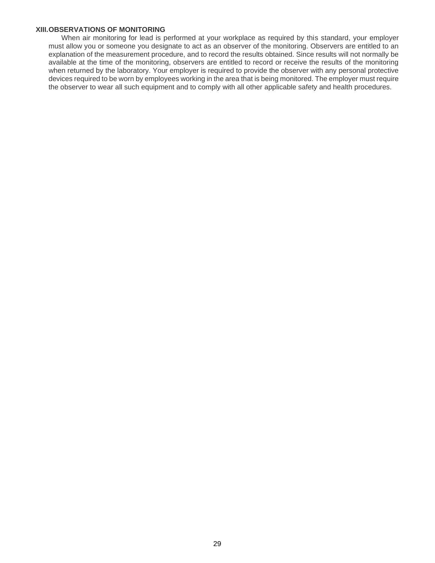# <span id="page-28-0"></span>**XIII.OBSERVATIONS OF MONITORING**

When air monitoring for lead is performed at your workplace as required by this standard, your employer must allow you or someone you designate to act as an observer of the monitoring. Observers are entitled to an explanation of the measurement procedure, and to record the results obtained. Since results will not normally be available at the time of the monitoring, observers are entitled to record or receive the results of the monitoring when returned by the laboratory. Your employer is required to provide the observer with any personal protective devices required to be worn by employees working in the area that is being monitored. The employer must require the observer to wear all such equipment and to comply with all other applicable safety and health procedures.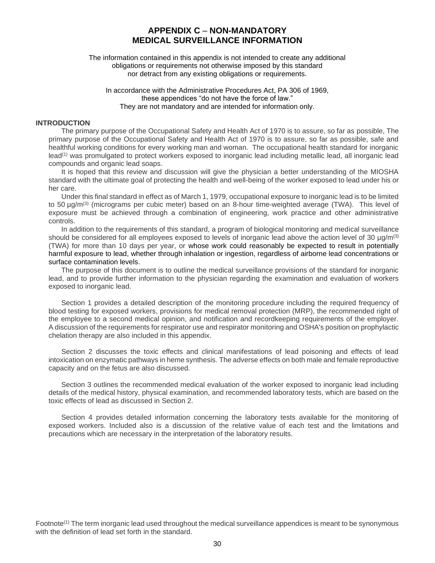# **APPENDIX C** – **NON-MANDATORY MEDICAL SURVEILLANCE INFORMATION**

<span id="page-29-1"></span><span id="page-29-0"></span>The information contained in this appendix is not intended to create any additional obligations or requirements not otherwise imposed by this standard nor detract from any existing obligations or requirements.

In accordance with the Administrative Procedures Act, PA 306 of 1969, these appendices "do not have the force of law." They are not mandatory and are intended for information only.

# <span id="page-29-2"></span>**INTRODUCTION**

The primary purpose of the Occupational Safety and Health Act of 1970 is to assure, so far as possible, The primary purpose of the Occupational Safety and Health Act of 1970 is to assure, so far as possible, safe and healthful working conditions for every working man and woman. The occupational health standard for inorganic lead(1) was promulgated to protect workers exposed to inorganic lead including metallic lead, all inorganic lead compounds and organic lead soaps.

It is hoped that this review and discussion will give the physician a better understanding of the MIOSHA standard with the ultimate goal of protecting the health and well-being of the worker exposed to lead under his or her care.

Under this final standard in effect as of March 1, 1979, occupational exposure to inorganic lead is to be limited to 50  $\mu$ g/m<sup>(3)</sup> (micrograms per cubic meter) based on an 8-hour time-weighted average (TWA). This level of exposure must be achieved through a combination of engineering, work practice and other administrative controls.

In addition to the requirements of this standard, a program of biological monitoring and medical surveillance should be considered for all employees exposed to levels of inorganic lead above the action level of 30  $\mu q/m^{(3)}$ (TWA) for more than 10 days per year, or whose work could reasonably be expected to result in potentially harmful exposure to lead, whether through inhalation or ingestion, regardless of airborne lead concentrations or surface contamination levels.

The purpose of this document is to outline the medical surveillance provisions of the standard for inorganic lead, and to provide further information to the physician regarding the examination and evaluation of workers exposed to inorganic lead.

Section 1 provides a detailed description of the monitoring procedure including the required frequency of blood testing for exposed workers, provisions for medical removal protection (MRP), the recommended right of the employee to a second medical opinion, and notification and recordkeeping requirements of the employer. A discussion of the requirements for respirator use and respirator monitoring and OSHA's position on prophylactic chelation therapy are also included in this appendix.

Section 2 discusses the toxic effects and clinical manifestations of lead poisoning and effects of lead intoxication on enzymatic pathways in heme synthesis. The adverse effects on both male and female reproductive capacity and on the fetus are also discussed.

Section 3 outlines the recommended medical evaluation of the worker exposed to inorganic lead including details of the medical history, physical examination, and recommended laboratory tests, which are based on the toxic effects of lead as discussed in Section 2.

Section 4 provides detailed information concerning the laboratory tests available for the monitoring of exposed workers. Included also is a discussion of the relative value of each test and the limitations and precautions which are necessary in the interpretation of the laboratory results.

Footnote<sup>(1)</sup> The term inorganic lead used throughout the medical surveillance appendices is meant to be synonymous with the definition of lead set forth in the standard.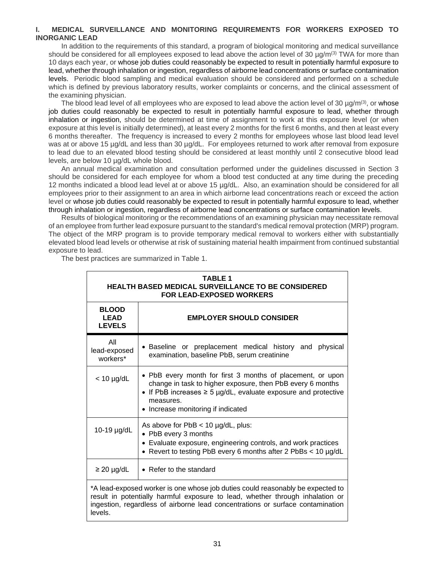# <span id="page-30-0"></span>**I. MEDICAL SURVEILLANCE AND MONITORING REQUIREMENTS FOR WORKERS EXPOSED TO INORGANIC LEAD**

In addition to the requirements of this standard, a program of biological monitoring and medical surveillance should be considered for all employees exposed to lead above the action level of 30  $\mu q/m^{(3)}$  TWA for more than 10 days each year, or whose job duties could reasonably be expected to result in potentially harmful exposure to lead, whether through inhalation or ingestion, regardless of airborne lead concentrations or surface contamination levels. Periodic blood sampling and medical evaluation should be considered and performed on a schedule which is defined by previous laboratory results, worker complaints or concerns, and the clinical assessment of the examining physician.

The blood lead level of all employees who are exposed to lead above the action level of 30  $\mu q/m^{(3)}$ , or whose job duties could reasonably be expected to result in potentially harmful exposure to lead, whether through inhalation or ingestion, should be determined at time of assignment to work at this exposure level (or when exposure at this level is initially determined), at least every 2 months for the first 6 months, and then at least every 6 months thereafter. The frequency is increased to every 2 months for employees whose last blood lead level was at or above 15 µg/dL and less than 30 µg/dL. For employees returned to work after removal from exposure to lead due to an elevated blood testing should be considered at least monthly until 2 consecutive blood lead levels, are below 10 µg/dL whole blood.

An annual medical examination and consultation performed under the guidelines discussed in Section 3 should be considered for each employee for whom a blood test conducted at any time during the preceding 12 months indicated a blood lead level at or above 15 µg/dL. Also, an examination should be considered for all employees prior to their assignment to an area in which airborne lead concentrations reach or exceed the action level or whose job duties could reasonably be expected to result in potentially harmful exposure to lead, whether through inhalation or ingestion, regardless of airborne lead concentrations or surface contamination levels.

Results of biological monitoring or the recommendations of an examining physician may necessitate removal of an employee from further lead exposure pursuant to the standard's medical removal protection (MRP) program. The object of the MRP program is to provide temporary medical removal to workers either with substantially elevated blood lead levels or otherwise at risk of sustaining material health impairment from continued substantial exposure to lead.

The best practices are summarized in Table 1.

| <b>TABLE 1</b><br><b>HEALTH BASED MEDICAL SURVEILLANCE TO BE CONSIDERED</b><br><b>FOR LEAD-EXPOSED WORKERS</b>                                                                                                                                               |                                                                                                                                                                                                                                                  |
|--------------------------------------------------------------------------------------------------------------------------------------------------------------------------------------------------------------------------------------------------------------|--------------------------------------------------------------------------------------------------------------------------------------------------------------------------------------------------------------------------------------------------|
| <b>BLOOD</b><br><b>LEAD</b><br><b>LEVELS</b>                                                                                                                                                                                                                 | <b>EMPLOYER SHOULD CONSIDER</b>                                                                                                                                                                                                                  |
| All<br>lead-exposed<br>workers*                                                                                                                                                                                                                              | • Baseline or preplacement medical history and physical<br>examination, baseline PbB, serum creatinine                                                                                                                                           |
| $< 10$ µg/dL                                                                                                                                                                                                                                                 | • PbB every month for first 3 months of placement, or upon<br>change in task to higher exposure, then PbB every 6 months<br>• If PbB increases $\geq$ 5 µg/dL, evaluate exposure and protective<br>measures.<br>Increase monitoring if indicated |
| 10-19 µg/dL                                                                                                                                                                                                                                                  | As above for $PbB < 10 \mu g/dL$ , plus:<br>• PbB every 3 months<br>• Evaluate exposure, engineering controls, and work practices<br>• Revert to testing PbB every 6 months after 2 PbBs $<$ 10 $\mu$ g/dL                                       |
| $\geq$ 20 µg/dL                                                                                                                                                                                                                                              | • Refer to the standard                                                                                                                                                                                                                          |
| *A lead-exposed worker is one whose job duties could reasonably be expected to<br>result in potentially harmful exposure to lead, whether through inhalation or<br>ingestion, regardless of airborne lead concentrations or surface contamination<br>levels. |                                                                                                                                                                                                                                                  |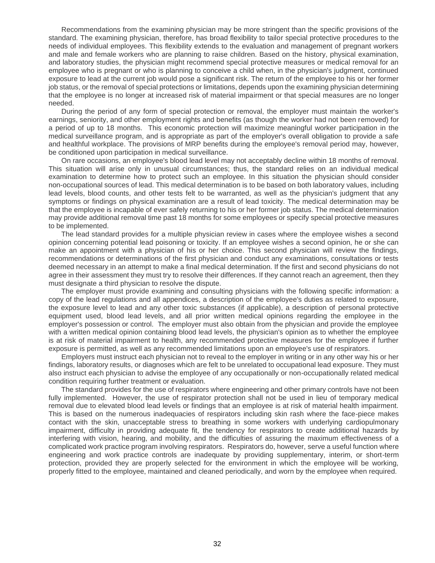Recommendations from the examining physician may be more stringent than the specific provisions of the standard. The examining physician, therefore, has broad flexibility to tailor special protective procedures to the needs of individual employees. This flexibility extends to the evaluation and management of pregnant workers and male and female workers who are planning to raise children. Based on the history, physical examination, and laboratory studies, the physician might recommend special protective measures or medical removal for an employee who is pregnant or who is planning to conceive a child when, in the physician's judgment, continued exposure to lead at the current job would pose a significant risk. The return of the employee to his or her former job status, or the removal of special protections or limitations, depends upon the examining physician determining that the employee is no longer at increased risk of material impairment or that special measures are no longer needed.

During the period of any form of special protection or removal, the employer must maintain the worker's earnings, seniority, and other employment rights and benefits (as though the worker had not been removed) for a period of up to 18 months. This economic protection will maximize meaningful worker participation in the medical surveillance program, and is appropriate as part of the employer's overall obligation to provide a safe and healthful workplace. The provisions of MRP benefits during the employee's removal period may, however, be conditioned upon participation in medical surveillance.

On rare occasions, an employee's blood lead level may not acceptably decline within 18 months of removal. This situation will arise only in unusual circumstances; thus, the standard relies on an individual medical examination to determine how to protect such an employee. In this situation the physician should consider non-occupational sources of lead. This medical determination is to be based on both laboratory values, including lead levels, blood counts, and other tests felt to be warranted, as well as the physician's judgment that any symptoms or findings on physical examination are a result of lead toxicity. The medical determination may be that the employee is incapable of ever safely returning to his or her former job status. The medical determination may provide additional removal time past 18 months for some employees or specify special protective measures to be implemented.

The lead standard provides for a multiple physician review in cases where the employee wishes a second opinion concerning potential lead poisoning or toxicity. If an employee wishes a second opinion, he or she can make an appointment with a physician of his or her choice. This second physician will review the findings, recommendations or determinations of the first physician and conduct any examinations, consultations or tests deemed necessary in an attempt to make a final medical determination. If the first and second physicians do not agree in their assessment they must try to resolve their differences. If they cannot reach an agreement, then they must designate a third physician to resolve the dispute.

The employer must provide examining and consulting physicians with the following specific information: a copy of the lead regulations and all appendices, a description of the employee's duties as related to exposure, the exposure level to lead and any other toxic substances (if applicable), a description of personal protective equipment used, blood lead levels, and all prior written medical opinions regarding the employee in the employer's possession or control. The employer must also obtain from the physician and provide the employee with a written medical opinion containing blood lead levels, the physician's opinion as to whether the employee is at risk of material impairment to health, any recommended protective measures for the employee if further exposure is permitted, as well as any recommended limitations upon an employee's use of respirators.

Employers must instruct each physician not to reveal to the employer in writing or in any other way his or her findings, laboratory results, or diagnoses which are felt to be unrelated to occupational lead exposure. They must also instruct each physician to advise the employee of any occupationally or non-occupationally related medical condition requiring further treatment or evaluation.

The standard provides for the use of respirators where engineering and other primary controls have not been fully implemented. However, the use of respirator protection shall not be used in lieu of temporary medical removal due to elevated blood lead levels or findings that an employee is at risk of material health impairment. This is based on the numerous inadequacies of respirators including skin rash where the face-piece makes contact with the skin, unacceptable stress to breathing in some workers with underlying cardiopulmonary impairment, difficulty in providing adequate fit, the tendency for respirators to create additional hazards by interfering with vision, hearing, and mobility, and the difficulties of assuring the maximum effectiveness of a complicated work practice program involving respirators. Respirators do, however, serve a useful function where engineering and work practice controls are inadequate by providing supplementary, interim, or short-term protection, provided they are properly selected for the environment in which the employee will be working, properly fitted to the employee, maintained and cleaned periodically, and worn by the employee when required.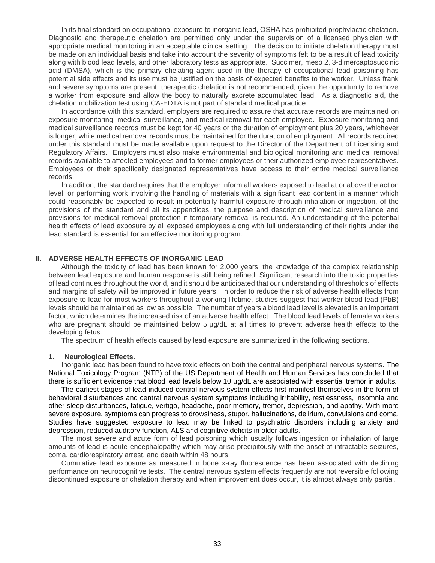In its final standard on occupational exposure to inorganic lead, OSHA has prohibited prophylactic chelation. Diagnostic and therapeutic chelation are permitted only under the supervision of a licensed physician with appropriate medical monitoring in an acceptable clinical setting. The decision to initiate chelation therapy must be made on an individual basis and take into account the severity of symptoms felt to be a result of lead toxicity along with blood lead levels, and other laboratory tests as appropriate. Succimer, meso 2, 3-dimercaptosuccinic acid (DMSA), which is the primary chelating agent used in the therapy of occupational lead poisoning has potential side effects and its use must be justified on the basis of expected benefits to the worker. Unless frank and severe symptoms are present, therapeutic chelation is not recommended, given the opportunity to remove a worker from exposure and allow the body to naturally excrete accumulated lead. As a diagnostic aid, the chelation mobilization test using CA-EDTA is not part of standard medical practice.

In accordance with this standard, employers are required to assure that accurate records are maintained on exposure monitoring, medical surveillance, and medical removal for each employee. Exposure monitoring and medical surveillance records must be kept for 40 years or the duration of employment plus 20 years, whichever is longer, while medical removal records must be maintained for the duration of employment. All records required under this standard must be made available upon request to the Director of the Department of Licensing and Regulatory Affairs. Employers must also make environmental and biological monitoring and medical removal records available to affected employees and to former employees or their authorized employee representatives. Employees or their specifically designated representatives have access to their entire medical surveillance records.

In addition, the standard requires that the employer inform all workers exposed to lead at or above the action level, or performing work involving the handling of materials with a significant lead content in a manner which could reasonably be expected to result in potentially harmful exposure through inhalation or ingestion, of the provisions of the standard and all its appendices, the purpose and description of medical surveillance and provisions for medical removal protection if temporary removal is required. An understanding of the potential health effects of lead exposure by all exposed employees along with full understanding of their rights under the lead standard is essential for an effective monitoring program.

### <span id="page-32-0"></span>**II. ADVERSE HEALTH EFFECTS OF INORGANIC LEAD**

Although the toxicity of lead has been known for 2,000 years, the knowledge of the complex relationship between lead exposure and human response is still being refined. Significant research into the toxic properties of lead continues throughout the world, and it should be anticipated that our understanding of thresholds of effects and margins of safety will be improved in future years. In order to reduce the risk of adverse health effects from exposure to lead for most workers throughout a working lifetime, studies suggest that worker blood lead (PbB) levels should be maintained as low as possible. The number of years a blood lead level is elevated is an important factor, which determines the increased risk of an adverse health effect. The blood lead levels of female workers who are pregnant should be maintained below 5  $\mu$ g/dL at all times to prevent adverse health effects to the developing fetus.

The spectrum of health effects caused by lead exposure are summarized in the following sections.

### <span id="page-32-1"></span>**1. Neurological Effects.**

Inorganic lead has been found to have toxic effects on both the central and peripheral nervous systems. The National Toxicology Program (NTP) of the US Department of Health and Human Services has concluded that there is sufficient evidence that blood lead levels below 10 µg/dL are associated with essential tremor in adults.

The earliest stages of lead-induced central nervous system effects first manifest themselves in the form of behavioral disturbances and central nervous system symptoms including irritability, restlessness, insomnia and other sleep disturbances, fatigue, vertigo, headache, poor memory, tremor, depression, and apathy. With more severe exposure, symptoms can progress to drowsiness, stupor, hallucinations, delirium, convulsions and coma. Studies have suggested exposure to lead may be linked to psychiatric disorders including anxiety and depression, reduced auditory function, ALS and cognitive deficits in older adults.

The most severe and acute form of lead poisoning which usually follows ingestion or inhalation of large amounts of lead is acute encephalopathy which may arise precipitously with the onset of intractable seizures, coma, cardiorespiratory arrest, and death within 48 hours.

Cumulative lead exposure as measured in bone x-ray fluorescence has been associated with declining performance on neurocognitive tests. The central nervous system effects frequently are not reversible following discontinued exposure or chelation therapy and when improvement does occur, it is almost always only partial.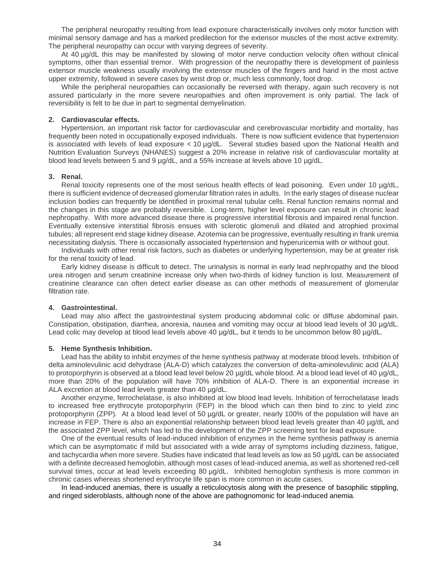The peripheral neuropathy resulting from lead exposure characteristically involves only motor function with minimal sensory damage and has a marked predilection for the extensor muscles of the most active extremity. The peripheral neuropathy can occur with varying degrees of severity.

At 40 µg/dL this may be manifested by slowing of motor nerve conduction velocity often without clinical symptoms, other than essential tremor. With progression of the neuropathy there is development of painless extensor muscle weakness usually involving the extensor muscles of the fingers and hand in the most active upper extremity, followed in severe cases by wrist drop or, much less commonly, foot drop.

While the peripheral neuropathies can occasionally be reversed with therapy, again such recovery is not assured particularly in the more severe neuropathies and often improvement is only partial. The lack of reversibility is felt to be due in part to segmental demyelination.

#### <span id="page-33-0"></span>**2. Cardiovascular effects.**

Hypertension, an important risk factor for cardiovascular and cerebrovascular morbidity and mortality, has frequently been noted in occupationally exposed individuals. There is now sufficient evidence that hypertension is associated with levels of lead exposure < 10 µg/dL. Several studies based upon the National Health and Nutrition Evaluation Surveys (NHANES) suggest a 20% increase in relative risk of cardiovascular mortality at blood lead levels between 5 and 9 µg/dL, and a 55% increase at levels above 10 µg/dL.

#### <span id="page-33-1"></span>**3. Renal.**

Renal toxicity represents one of the most serious health effects of lead poisoning. Even under 10 µg/dL, there is sufficient evidence of decreased glomerular filtration rates in adults. In the early stages of disease nuclear inclusion bodies can frequently be identified in proximal renal tubular cells. Renal function remains normal and the changes in this stage are probably reversible. Long-term, higher level exposure can result in chronic lead nephropathy. With more advanced disease there is progressive interstitial fibrosis and impaired renal function. Eventually extensive interstitial fibrosis ensues with sclerotic glomeruli and dilated and atrophied proximal tubules; all represent end stage kidney disease. Azotemia can be progressive, eventually resulting in frank uremia necessitating dialysis. There is occasionally associated hypertension and hyperuricemia with or without gout.

Individuals with other renal risk factors, such as diabetes or underlying hypertension, may be at greater risk for the renal toxicity of lead.

Early kidney disease is difficult to detect. The urinalysis is normal in early lead nephropathy and the blood urea nitrogen and serum creatinine increase only when two-thirds of kidney function is lost. Measurement of creatinine clearance can often detect earlier disease as can other methods of measurement of glomerular filtration rate.

#### <span id="page-33-2"></span>**4. Gastrointestinal.**

Lead may also affect the gastrointestinal system producing abdominal colic or diffuse abdominal pain. Constipation, obstipation, diarrhea, anorexia, nausea and vomiting may occur at blood lead levels of 30 µg/dL. Lead colic may develop at blood lead levels above 40 µg/dL, but it tends to be uncommon below 80 µg/dL.

#### <span id="page-33-3"></span>**5. Heme Synthesis Inhibition.**

Lead has the ability to inhibit enzymes of the heme synthesis pathway at moderate blood levels. Inhibition of delta aminolevulinic acid dehydrase (ALA-D) which catalyzes the conversion of delta-aminolevulinic acid (ALA) to protoporphyrin is observed at a blood lead level below 20 µg/dL whole blood. At a blood lead level of 40 µg/dL, more than 20% of the population will have 70% inhibition of ALA-D. There is an exponential increase in ALA excretion at blood lead levels greater than 40 µg/dL.

Another enzyme, ferrochelatase, is also inhibited at low blood lead levels. Inhibition of ferrochelatase leads to increased free erythrocyte protoporphyrin (FEP) in the blood which can then bind to zinc to yield zinc protoporphyrin (ZPP). At a blood lead level of 50 µg/dL or greater, nearly 100% of the population will have an increase in FEP. There is also an exponential relationship between blood lead levels greater than 40 µg/dL and the associated ZPP level, which has led to the development of the ZPP screening test for lead exposure.

One of the eventual results of lead-induced inhibition of enzymes in the heme synthesis pathway is anemia which can be asymptomatic if mild but associated with a wide array of symptoms including dizziness, fatigue, and tachycardia when more severe. Studies have indicated that lead levels as low as 50 µg/dL can be associated with a definite decreased hemoglobin, although most cases of lead-induced anemia, as well as shortened red-cell survival times, occur at lead levels exceeding 80 µg/dL. Inhibited hemoglobin synthesis is more common in chronic cases whereas shortened erythrocyte life span is more common in acute cases.

In lead-induced anemias, there is usually a reticulocytosis along with the presence of basophilic stippling, and ringed sideroblasts, although none of the above are pathognomonic for lead-induced anemia.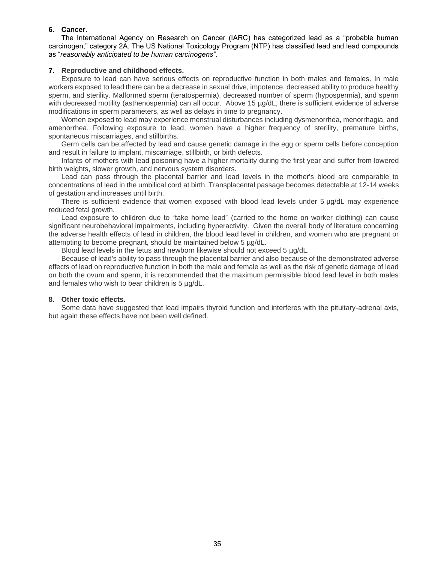# <span id="page-34-0"></span>**6. Cancer.**

The International Agency on Research on Cancer (IARC) has categorized lead as a "probable human carcinogen," category 2A. The US National Toxicology Program (NTP) has classified lead and lead compounds as "*reasonably anticipated to be human carcinogens".*

# <span id="page-34-1"></span>**7. Reproductive and childhood effects.**

Exposure to lead can have serious effects on reproductive function in both males and females. In male workers exposed to lead there can be a decrease in sexual drive, impotence, decreased ability to produce healthy sperm, and sterility. Malformed sperm (teratospermia), decreased number of sperm (hypospermia), and sperm with decreased motility (asthenospermia) can all occur. Above 15 µg/dL, there is sufficient evidence of adverse modifications in sperm parameters, as well as delays in time to pregnancy.

Women exposed to lead may experience menstrual disturbances including dysmenorrhea, menorrhagia, and amenorrhea. Following exposure to lead, women have a higher frequency of sterility, premature births, spontaneous miscarriages, and stillbirths.

Germ cells can be affected by lead and cause genetic damage in the egg or sperm cells before conception and result in failure to implant, miscarriage, stillbirth, or birth defects.

Infants of mothers with lead poisoning have a higher mortality during the first year and suffer from lowered birth weights, slower growth, and nervous system disorders.

Lead can pass through the placental barrier and lead levels in the mother's blood are comparable to concentrations of lead in the umbilical cord at birth. Transplacental passage becomes detectable at 12-14 weeks of gestation and increases until birth.

There is sufficient evidence that women exposed with blood lead levels under 5 µg/dL may experience reduced fetal growth.

Lead exposure to children due to "take home lead" (carried to the home on worker clothing) can cause significant neurobehavioral impairments, including hyperactivity. Given the overall body of literature concerning the adverse health effects of lead in children, the blood lead level in children, and women who are pregnant or attempting to become pregnant, should be maintained below 5 µg/dL.

Blood lead levels in the fetus and newborn likewise should not exceed 5 µg/dL.

Because of lead's ability to pass through the placental barrier and also because of the demonstrated adverse effects of lead on reproductive function in both the male and female as well as the risk of genetic damage of lead on both the ovum and sperm, it is recommended that the maximum permissible blood lead level in both males and females who wish to bear children is 5 µg/dL.

# <span id="page-34-2"></span>**8. Other toxic effects.**

Some data have suggested that lead impairs thyroid function and interferes with the pituitary-adrenal axis, but again these effects have not been well defined.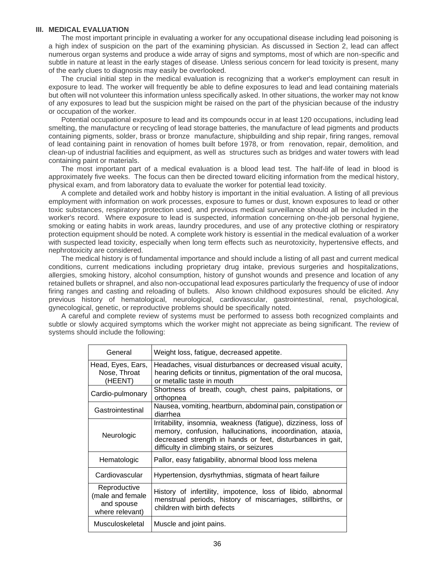#### <span id="page-35-0"></span>**III. MEDICAL EVALUATION**

The most important principle in evaluating a worker for any occupational disease including lead poisoning is a high index of suspicion on the part of the examining physician. As discussed in Section 2, lead can affect numerous organ systems and produce a wide array of signs and symptoms, most of which are non-specific and subtle in nature at least in the early stages of disease. Unless serious concern for lead toxicity is present, many of the early clues to diagnosis may easily be overlooked.

The crucial initial step in the medical evaluation is recognizing that a worker's employment can result in exposure to lead. The worker will frequently be able to define exposures to lead and lead containing materials but often will not volunteer this information unless specifically asked. In other situations, the worker may not know of any exposures to lead but the suspicion might be raised on the part of the physician because of the industry or occupation of the worker.

Potential occupational exposure to lead and its compounds occur in at least 120 occupations, including lead smelting, the manufacture or recycling of lead storage batteries, the manufacture of lead pigments and products containing pigments, solder, brass or bronze manufacture, shipbuilding and ship repair, firing ranges, removal of lead containing paint in renovation of homes built before 1978, or from renovation, repair, demolition, and clean-up of industrial facilities and equipment, as well as structures such as bridges and water towers with lead containing paint or materials.

The most important part of a medical evaluation is a blood lead test. The half-life of lead in blood is approximately five weeks. The focus can then be directed toward eliciting information from the medical history, physical exam, and from laboratory data to evaluate the worker for potential lead toxicity.

A complete and detailed work and hobby history is important in the initial evaluation. A listing of all previous employment with information on work processes, exposure to fumes or dust, known exposures to lead or other toxic substances, respiratory protection used, and previous medical surveillance should all be included in the worker's record. Where exposure to lead is suspected, information concerning on-the-job personal hygiene, smoking or eating habits in work areas, laundry procedures, and use of any protective clothing or respiratory protection equipment should be noted. A complete work history is essential in the medical evaluation of a worker with suspected lead toxicity, especially when long term effects such as neurotoxicity, hypertensive effects, and nephrotoxicity are considered.

The medical history is of fundamental importance and should include a listing of all past and current medical conditions, current medications including proprietary drug intake, previous surgeries and hospitalizations, allergies, smoking history, alcohol consumption, history of gunshot wounds and presence and location of any retained bullets or shrapnel, and also non-occupational lead exposures particularly the frequency of use of indoor firing ranges and casting and reloading of bullets. Also known childhood exposures should be elicited. Any previous history of hematological, neurological, cardiovascular, gastrointestinal, renal, psychological, gynecological, genetic, or reproductive problems should be specifically noted.

A careful and complete review of systems must be performed to assess both recognized complaints and subtle or slowly acquired symptoms which the worker might not appreciate as being significant. The review of systems should include the following:

| General                                                           | Weight loss, fatigue, decreased appetite.                                                                                                                                                                                                |
|-------------------------------------------------------------------|------------------------------------------------------------------------------------------------------------------------------------------------------------------------------------------------------------------------------------------|
| Head, Eyes, Ears,<br>Nose, Throat<br>(HEENT)                      | Headaches, visual disturbances or decreased visual acuity,<br>hearing deficits or tinnitus, pigmentation of the oral mucosa,<br>or metallic taste in mouth                                                                               |
| Cardio-pulmonary                                                  | Shortness of breath, cough, chest pains, palpitations, or<br>orthopnea                                                                                                                                                                   |
| Gastrointestinal                                                  | Nausea, vomiting, heartburn, abdominal pain, constipation or<br>diarrhea                                                                                                                                                                 |
| Neurologic                                                        | Irritability, insomnia, weakness (fatigue), dizziness, loss of<br>memory, confusion, hallucinations, incoordination, ataxia,<br>decreased strength in hands or feet, disturbances in gait,<br>difficulty in climbing stairs, or seizures |
| Hematologic                                                       | Pallor, easy fatigability, abnormal blood loss melena                                                                                                                                                                                    |
| Cardiovascular                                                    | Hypertension, dysrhythmias, stigmata of heart failure                                                                                                                                                                                    |
| Reproductive<br>(male and female<br>and spouse<br>where relevant) | History of infertility, impotence, loss of libido, abnormal<br>menstrual periods, history of miscarriages, stillbirths, or<br>children with birth defects                                                                                |
| Musculoskeletal                                                   | Muscle and joint pains.                                                                                                                                                                                                                  |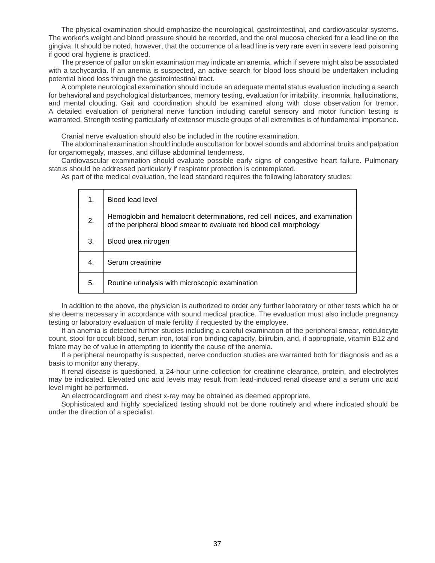The physical examination should emphasize the neurological, gastrointestinal, and cardiovascular systems. The worker's weight and blood pressure should be recorded, and the oral mucosa checked for a lead line on the gingiva. It should be noted, however, that the occurrence of a lead line is very rare even in severe lead poisoning if good oral hygiene is practiced.

The presence of pallor on skin examination may indicate an anemia, which if severe might also be associated with a tachycardia. If an anemia is suspected, an active search for blood loss should be undertaken including potential blood loss through the gastrointestinal tract.

A complete neurological examination should include an adequate mental status evaluation including a search for behavioral and psychological disturbances, memory testing, evaluation for irritability, insomnia, hallucinations, and mental clouding. Gait and coordination should be examined along with close observation for tremor. A detailed evaluation of peripheral nerve function including careful sensory and motor function testing is warranted. Strength testing particularly of extensor muscle groups of all extremities is of fundamental importance.

Cranial nerve evaluation should also be included in the routine examination.

The abdominal examination should include auscultation for bowel sounds and abdominal bruits and palpation for organomegaly, masses, and diffuse abdominal tenderness.

Cardiovascular examination should evaluate possible early signs of congestive heart failure. Pulmonary status should be addressed particularly if respirator protection is contemplated.

As part of the medical evaluation, the lead standard requires the following laboratory studies:

| 1. | <b>Blood lead level</b>                                                                                                                            |
|----|----------------------------------------------------------------------------------------------------------------------------------------------------|
| 2. | Hemoglobin and hematocrit determinations, red cell indices, and examination<br>of the peripheral blood smear to evaluate red blood cell morphology |
| 3. | Blood urea nitrogen                                                                                                                                |
| 4. | Serum creatinine                                                                                                                                   |
| 5. | Routine urinalysis with microscopic examination                                                                                                    |

In addition to the above, the physician is authorized to order any further laboratory or other tests which he or she deems necessary in accordance with sound medical practice. The evaluation must also include pregnancy testing or laboratory evaluation of male fertility if requested by the employee.

If an anemia is detected further studies including a careful examination of the peripheral smear, reticulocyte count, stool for occult blood, serum iron, total iron binding capacity, bilirubin, and, if appropriate, vitamin B12 and folate may be of value in attempting to identify the cause of the anemia.

If a peripheral neuropathy is suspected, nerve conduction studies are warranted both for diagnosis and as a basis to monitor any therapy.

If renal disease is questioned, a 24-hour urine collection for creatinine clearance, protein, and electrolytes may be indicated. Elevated uric acid levels may result from lead-induced renal disease and a serum uric acid level might be performed.

An electrocardiogram and chest x-ray may be obtained as deemed appropriate.

Sophisticated and highly specialized testing should not be done routinely and where indicated should be under the direction of a specialist.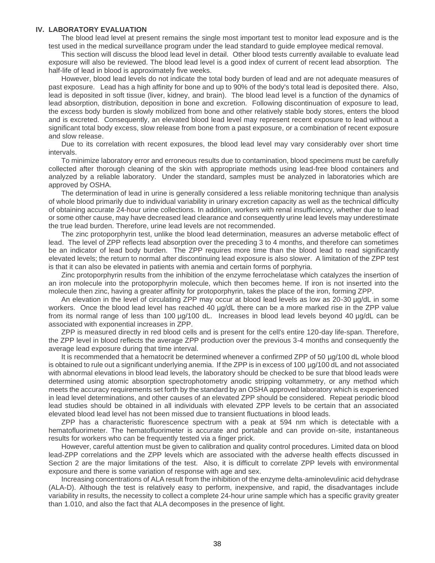#### <span id="page-37-0"></span>**IV. LABORATORY EVALUATION**

The blood lead level at present remains the single most important test to monitor lead exposure and is the test used in the medical surveillance program under the lead standard to guide employee medical removal.

This section will discuss the blood lead level in detail. Other blood tests currently available to evaluate lead exposure will also be reviewed. The blood lead level is a good index of current of recent lead absorption. The half-life of lead in blood is approximately five weeks.

However, blood lead levels do not indicate the total body burden of lead and are not adequate measures of past exposure. Lead has a high affinity for bone and up to 90% of the body's total lead is deposited there. Also, lead is deposited in soft tissue (liver, kidney, and brain). The blood lead level is a function of the dynamics of lead absorption, distribution, deposition in bone and excretion. Following discontinuation of exposure to lead, the excess body burden is slowly mobilized from bone and other relatively stable body stores, enters the blood and is excreted. Consequently, an elevated blood lead level may represent recent exposure to lead without a significant total body excess, slow release from bone from a past exposure, or a combination of recent exposure and slow release.

Due to its correlation with recent exposures, the blood lead level may vary considerably over short time intervals.

To minimize laboratory error and erroneous results due to contamination, blood specimens must be carefully collected after thorough cleaning of the skin with appropriate methods using lead-free blood containers and analyzed by a reliable laboratory. Under the standard, samples must be analyzed in laboratories which are approved by OSHA.

The determination of lead in urine is generally considered a less reliable monitoring technique than analysis of whole blood primarily due to individual variability in urinary excretion capacity as well as the technical difficulty of obtaining accurate 24-hour urine collections. In addition, workers with renal insufficiency, whether due to lead or some other cause, may have decreased lead clearance and consequently urine lead levels may underestimate the true lead burden. Therefore, urine lead levels are not recommended.

The zinc protoporphyrin test, unlike the blood lead determination, measures an adverse metabolic effect of lead. The level of ZPP reflects lead absorption over the preceding 3 to 4 months, and therefore can sometimes be an indicator of lead body burden. The ZPP requires more time than the blood lead to read significantly elevated levels; the return to normal after discontinuing lead exposure is also slower. A limitation of the ZPP test is that it can also be elevated in patients with anemia and certain forms of porphyria.

Zinc protoporphyrin results from the inhibition of the enzyme ferrochelatase which catalyzes the insertion of an iron molecule into the protoporphyrin molecule, which then becomes heme. If iron is not inserted into the molecule then zinc, having a greater affinity for protoporphyrin, takes the place of the iron, forming ZPP.

An elevation in the level of circulating ZPP may occur at blood lead levels as low as 20-30 µg/dL in some workers. Once the blood lead level has reached 40  $\mu$ g/dL there can be a more marked rise in the ZPP value from its normal range of less than 100 µg/100 dL. Increases in blood lead levels beyond 40 µg/dL can be associated with exponential increases in ZPP.

ZPP is measured directly in red blood cells and is present for the cell's entire 120-day life-span. Therefore, the ZPP level in blood reflects the average ZPP production over the previous 3-4 months and consequently the average lead exposure during that time interval.

It is recommended that a hematocrit be determined whenever a confirmed ZPP of 50  $\mu$ g/100 dL whole blood is obtained to rule out a significant underlying anemia. If the ZPP is in excess of 100 µg/100 dL and not associated with abnormal elevations in blood lead levels, the laboratory should be checked to be sure that blood leads were determined using atomic absorption spectrophotometry anodic stripping voltammetry, or any method which meets the accuracy requirements set forth by the standard by an OSHA approved laboratory which is experienced in lead level determinations, and other causes of an elevated ZPP should be considered. Repeat periodic blood lead studies should be obtained in all individuals with elevated ZPP levels to be certain that an associated elevated blood lead level has not been missed due to transient fluctuations in blood leads.

ZPP has a characteristic fluorescence spectrum with a peak at 594 nm which is detectable with a hematofluorimeter. The hematofluorimeter is accurate and portable and can provide on-site, instantaneous results for workers who can be frequently tested via a finger prick.

However, careful attention must be given to calibration and quality control procedures. Limited data on blood lead-ZPP correlations and the ZPP levels which are associated with the adverse health effects discussed in Section 2 are the major limitations of the test. Also, it is difficult to correlate ZPP levels with environmental exposure and there is some variation of response with age and sex.

Increasing concentrations of ALA result from the inhibition of the enzyme delta-aminolevulinic acid dehydrase (ALA-D). Although the test is relatively easy to perform, inexpensive, and rapid, the disadvantages include variability in results, the necessity to collect a complete 24-hour urine sample which has a specific gravity greater than 1.010, and also the fact that ALA decomposes in the presence of light.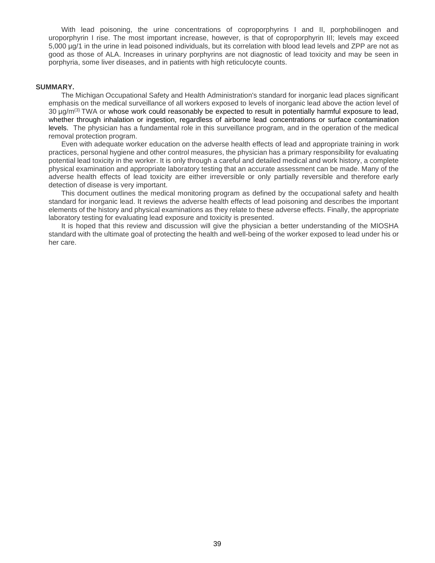With lead poisoning, the urine concentrations of coproporphyrins I and II, porphobilinogen and uroporphyrin I rise. The most important increase, however, is that of coproporphyrin III; levels may exceed 5,000 µg/1 in the urine in lead poisoned individuals, but its correlation with blood lead levels and ZPP are not as good as those of ALA. Increases in urinary porphyrins are not diagnostic of lead toxicity and may be seen in porphyria, some liver diseases, and in patients with high reticulocyte counts.

### <span id="page-38-0"></span>**SUMMARY.**

The Michigan Occupational Safety and Health Administration's standard for inorganic lead places significant emphasis on the medical surveillance of all workers exposed to levels of inorganic lead above the action level of  $30 \mu g/m^{(3)}$  TWA or whose work could reasonably be expected to result in potentially harmful exposure to lead, whether through inhalation or ingestion, regardless of airborne lead concentrations or surface contamination levels. The physician has a fundamental role in this surveillance program, and in the operation of the medical removal protection program.

Even with adequate worker education on the adverse health effects of lead and appropriate training in work practices, personal hygiene and other control measures, the physician has a primary responsibility for evaluating potential lead toxicity in the worker. It is only through a careful and detailed medical and work history, a complete physical examination and appropriate laboratory testing that an accurate assessment can be made. Many of the adverse health effects of lead toxicity are either irreversible or only partially reversible and therefore early detection of disease is very important.

This document outlines the medical monitoring program as defined by the occupational safety and health standard for inorganic lead. It reviews the adverse health effects of lead poisoning and describes the important elements of the history and physical examinations as they relate to these adverse effects. Finally, the appropriate laboratory testing for evaluating lead exposure and toxicity is presented.

It is hoped that this review and discussion will give the physician a better understanding of the MIOSHA standard with the ultimate goal of protecting the health and well-being of the worker exposed to lead under his or her care.